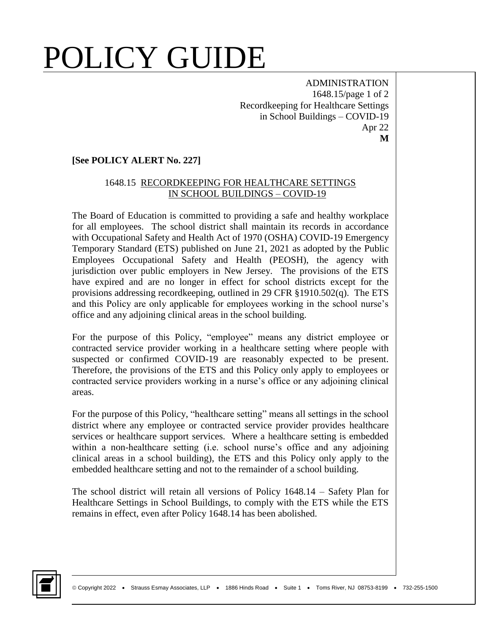ADMINISTRATION 1648.15/page 1 of 2 Recordkeeping for Healthcare Settings in School Buildings – COVID-19 Apr 22 **M**

#### **[See POLICY ALERT No. 227]**

#### 1648.15 RECORDKEEPING FOR HEALTHCARE SETTINGS IN SCHOOL BUILDINGS – COVID-19

The Board of Education is committed to providing a safe and healthy workplace for all employees. The school district shall maintain its records in accordance with Occupational Safety and Health Act of 1970 (OSHA) COVID-19 Emergency Temporary Standard (ETS) published on June 21, 2021 as adopted by the Public Employees Occupational Safety and Health (PEOSH), the agency with jurisdiction over public employers in New Jersey. The provisions of the ETS have expired and are no longer in effect for school districts except for the provisions addressing recordkeeping, outlined in 29 CFR §1910.502(q). The ETS and this Policy are only applicable for employees working in the school nurse's office and any adjoining clinical areas in the school building.

For the purpose of this Policy, "employee" means any district employee or contracted service provider working in a healthcare setting where people with suspected or confirmed COVID-19 are reasonably expected to be present. Therefore, the provisions of the ETS and this Policy only apply to employees or contracted service providers working in a nurse's office or any adjoining clinical areas.

For the purpose of this Policy, "healthcare setting" means all settings in the school district where any employee or contracted service provider provides healthcare services or healthcare support services. Where a healthcare setting is embedded within a non-healthcare setting (i.e. school nurse's office and any adjoining clinical areas in a school building), the ETS and this Policy only apply to the embedded healthcare setting and not to the remainder of a school building.

The school district will retain all versions of Policy 1648.14 – Safety Plan for Healthcare Settings in School Buildings, to comply with the ETS while the ETS remains in effect, even after Policy 1648.14 has been abolished.

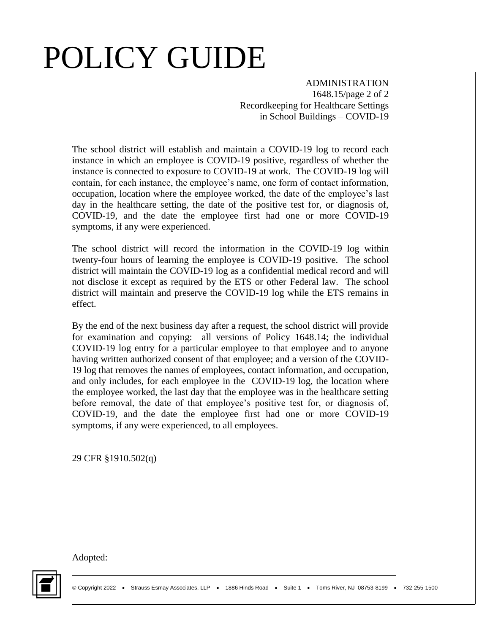ADMINISTRATION 1648.15/page 2 of 2 Recordkeeping for Healthcare Settings in School Buildings – COVID-19

The school district will establish and maintain a COVID-19 log to record each instance in which an employee is COVID-19 positive, regardless of whether the instance is connected to exposure to COVID-19 at work. The COVID-19 log will contain, for each instance, the employee's name, one form of contact information, occupation, location where the employee worked, the date of the employee's last day in the healthcare setting, the date of the positive test for, or diagnosis of, COVID-19, and the date the employee first had one or more COVID-19 symptoms, if any were experienced.

The school district will record the information in the COVID-19 log within twenty-four hours of learning the employee is COVID-19 positive. The school district will maintain the COVID-19 log as a confidential medical record and will not disclose it except as required by the ETS or other Federal law. The school district will maintain and preserve the COVID-19 log while the ETS remains in effect.

By the end of the next business day after a request, the school district will provide for examination and copying: all versions of Policy 1648.14; the individual COVID-19 log entry for a particular employee to that employee and to anyone having written authorized consent of that employee; and a version of the COVID-19 log that removes the names of employees, contact information, and occupation, and only includes, for each employee in the COVID-19 log, the location where the employee worked, the last day that the employee was in the healthcare setting before removal, the date of that employee's positive test for, or diagnosis of, COVID-19, and the date the employee first had one or more COVID-19 symptoms, if any were experienced, to all employees.

29 CFR §1910.502(q)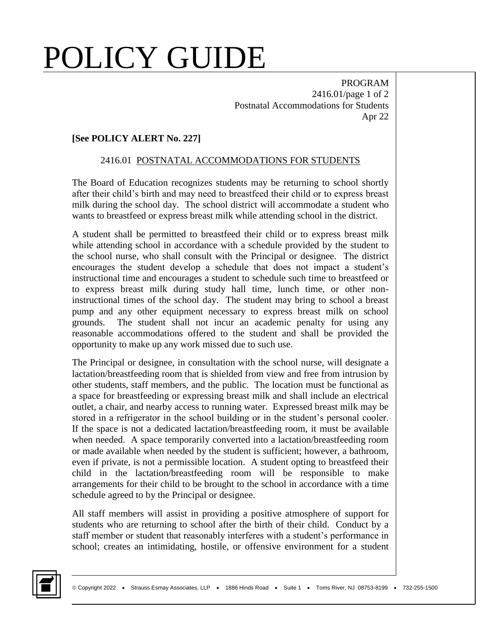PROGRAM 2416.01/page 1 of 2 Postnatal Accommodations for Students Apr 22

#### **[See POLICY ALERT No. 227]**

#### 2416.01 POSTNATAL ACCOMMODATIONS FOR STUDENTS

The Board of Education recognizes students may be returning to school shortly after their child's birth and may need to breastfeed their child or to express breast milk during the school day. The school district will accommodate a student who wants to breastfeed or express breast milk while attending school in the district.

A student shall be permitted to breastfeed their child or to express breast milk while attending school in accordance with a schedule provided by the student to the school nurse, who shall consult with the Principal or designee. The district encourages the student develop a schedule that does not impact a student's instructional time and encourages a student to schedule such time to breastfeed or to express breast milk during study hall time, lunch time, or other noninstructional times of the school day. The student may bring to school a breast pump and any other equipment necessary to express breast milk on school grounds. The student shall not incur an academic penalty for using any reasonable accommodations offered to the student and shall be provided the opportunity to make up any work missed due to such use.

The Principal or designee, in consultation with the school nurse, will designate a lactation/breastfeeding room that is shielded from view and free from intrusion by other students, staff members, and the public. The location must be functional as a space for breastfeeding or expressing breast milk and shall include an electrical outlet, a chair, and nearby access to running water. Expressed breast milk may be stored in a refrigerator in the school building or in the student's personal cooler. If the space is not a dedicated lactation/breastfeeding room, it must be available when needed. A space temporarily converted into a lactation/breastfeeding room or made available when needed by the student is sufficient; however, a bathroom, even if private, is not a permissible location. A student opting to breastfeed their child in the lactation/breastfeeding room will be responsible to make arrangements for their child to be brought to the school in accordance with a time schedule agreed to by the Principal or designee.

All staff members will assist in providing a positive atmosphere of support for students who are returning to school after the birth of their child. Conduct by a staff member or student that reasonably interferes with a student's performance in school; creates an intimidating, hostile, or offensive environment for a student

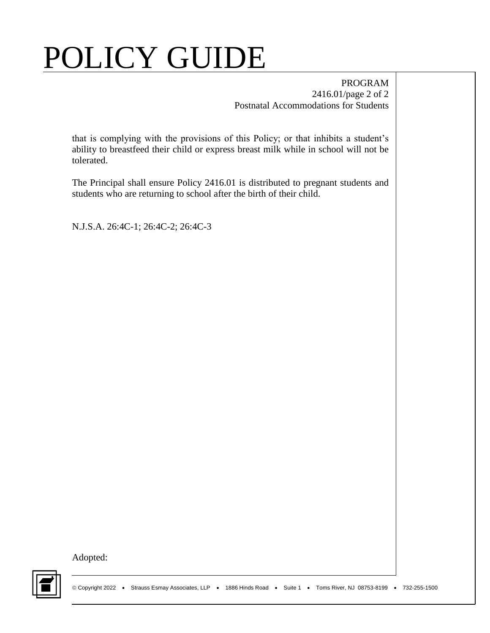#### PROGRAM 2416.01/page 2 of 2 Postnatal Accommodations for Students

that is complying with the provisions of this Policy; or that inhibits a student's ability to breastfeed their child or express breast milk while in school will not be tolerated.

The Principal shall ensure Policy 2416.01 is distributed to pregnant students and students who are returning to school after the birth of their child.

N.J.S.A. 26:4C-1; 26:4C-2; 26:4C-3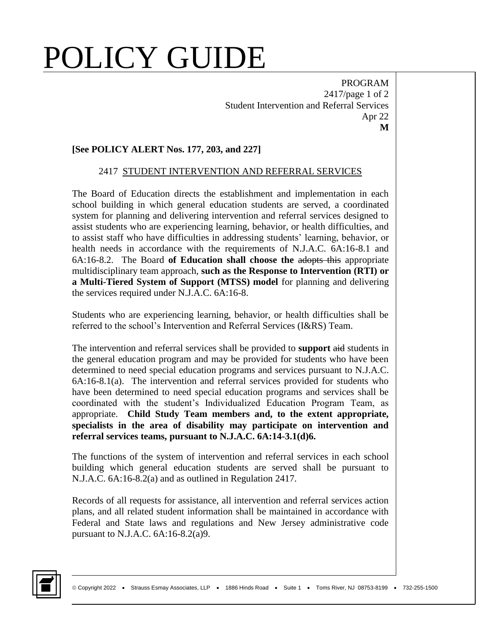PROGRAM 2417/page 1 of 2 Student Intervention and Referral Services Apr 22 **M**

#### **[See POLICY ALERT Nos. 177, 203, and 227]**

#### 2417 STUDENT INTERVENTION AND REFERRAL SERVICES

The Board of Education directs the establishment and implementation in each school building in which general education students are served, a coordinated system for planning and delivering intervention and referral services designed to assist students who are experiencing learning, behavior, or health difficulties, and to assist staff who have difficulties in addressing students' learning, behavior, or health needs in accordance with the requirements of N.J.A.C. 6A:16-8.1 and 6A:16-8.2. The Board **of Education shall choose the** adopts this appropriate multidisciplinary team approach, **such as the Response to Intervention (RTI) or a Multi-Tiered System of Support (MTSS) model** for planning and delivering the services required under N.J.A.C. 6A:16-8.

Students who are experiencing learning, behavior, or health difficulties shall be referred to the school's Intervention and Referral Services (I&RS) Team.

The intervention and referral services shall be provided to **support** aid students in the general education program and may be provided for students who have been determined to need special education programs and services pursuant to N.J.A.C. 6A:16-8.1(a). The intervention and referral services provided for students who have been determined to need special education programs and services shall be coordinated with the student's Individualized Education Program Team, as appropriate. **Child Study Team members and, to the extent appropriate, specialists in the area of disability may participate on intervention and referral services teams, pursuant to N.J.A.C. 6A:14-3.1(d)6.**

The functions of the system of intervention and referral services in each school building which general education students are served shall be pursuant to N.J.A.C. 6A:16-8.2(a) and as outlined in Regulation 2417.

Records of all requests for assistance, all intervention and referral services action plans, and all related student information shall be maintained in accordance with Federal and State laws and regulations and New Jersey administrative code pursuant to N.J.A.C. 6A:16-8.2(a)9.

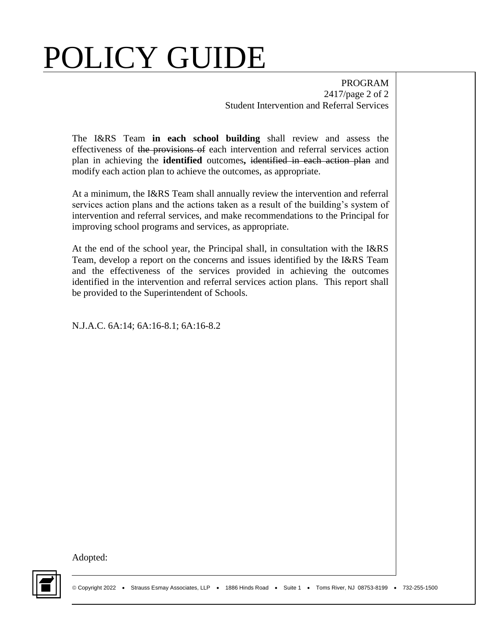PROGRAM 2417/page 2 of 2 Student Intervention and Referral Services

The I&RS Team **in each school building** shall review and assess the effectiveness of the provisions of each intervention and referral services action plan in achieving the **identified** outcomes**,** identified in each action plan and modify each action plan to achieve the outcomes, as appropriate.

At a minimum, the I&RS Team shall annually review the intervention and referral services action plans and the actions taken as a result of the building's system of intervention and referral services, and make recommendations to the Principal for improving school programs and services, as appropriate.

At the end of the school year, the Principal shall, in consultation with the I&RS Team, develop a report on the concerns and issues identified by the I&RS Team and the effectiveness of the services provided in achieving the outcomes identified in the intervention and referral services action plans. This report shall be provided to the Superintendent of Schools.

N.J.A.C. 6A:14; 6A:16-8.1; 6A:16-8.2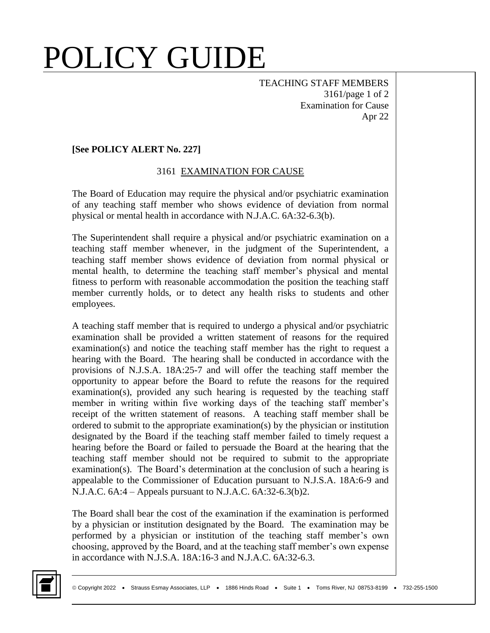TEACHING STAFF MEMBERS 3161/page 1 of 2 Examination for Cause Apr 22

#### **[See POLICY ALERT No. 227]**

#### 3161 EXAMINATION FOR CAUSE

The Board of Education may require the physical and/or psychiatric examination of any teaching staff member who shows evidence of deviation from normal physical or mental health in accordance with N.J.A.C. 6A:32-6.3(b).

The Superintendent shall require a physical and/or psychiatric examination on a teaching staff member whenever, in the judgment of the Superintendent, a teaching staff member shows evidence of deviation from normal physical or mental health, to determine the teaching staff member's physical and mental fitness to perform with reasonable accommodation the position the teaching staff member currently holds, or to detect any health risks to students and other employees.

A teaching staff member that is required to undergo a physical and/or psychiatric examination shall be provided a written statement of reasons for the required examination(s) and notice the teaching staff member has the right to request a hearing with the Board. The hearing shall be conducted in accordance with the provisions of N.J.S.A. 18A:25-7 and will offer the teaching staff member the opportunity to appear before the Board to refute the reasons for the required examination(s), provided any such hearing is requested by the teaching staff member in writing within five working days of the teaching staff member's receipt of the written statement of reasons. A teaching staff member shall be ordered to submit to the appropriate examination(s) by the physician or institution designated by the Board if the teaching staff member failed to timely request a hearing before the Board or failed to persuade the Board at the hearing that the teaching staff member should not be required to submit to the appropriate examination(s). The Board's determination at the conclusion of such a hearing is appealable to the Commissioner of Education pursuant to N.J.S.A. 18A:6-9 and N.J.A.C. 6A:4 – Appeals pursuant to N.J.A.C. 6A:32-6.3(b)2.

The Board shall bear the cost of the examination if the examination is performed by a physician or institution designated by the Board. The examination may be performed by a physician or institution of the teaching staff member's own choosing, approved by the Board, and at the teaching staff member's own expense in accordance with N.J.S.A.  $18A:16-3$  and N.J.A.C.  $6A:32-6.3$ .

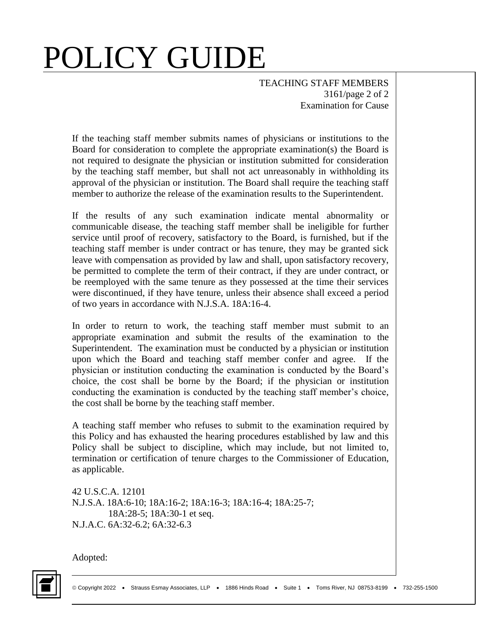TEACHING STAFF MEMBERS 3161/page 2 of 2 Examination for Cause

If the teaching staff member submits names of physicians or institutions to the Board for consideration to complete the appropriate examination(s) the Board is not required to designate the physician or institution submitted for consideration by the teaching staff member, but shall not act unreasonably in withholding its approval of the physician or institution. The Board shall require the teaching staff member to authorize the release of the examination results to the Superintendent.

If the results of any such examination indicate mental abnormality or communicable disease, the teaching staff member shall be ineligible for further service until proof of recovery, satisfactory to the Board, is furnished, but if the teaching staff member is under contract or has tenure, they may be granted sick leave with compensation as provided by law and shall, upon satisfactory recovery, be permitted to complete the term of their contract, if they are under contract, or be reemployed with the same tenure as they possessed at the time their services were discontinued, if they have tenure, unless their absence shall exceed a period of two years in accordance with N.J.S.A. 18A:16-4.

In order to return to work, the teaching staff member must submit to an appropriate examination and submit the results of the examination to the Superintendent. The examination must be conducted by a physician or institution upon which the Board and teaching staff member confer and agree. If the physician or institution conducting the examination is conducted by the Board's choice, the cost shall be borne by the Board; if the physician or institution conducting the examination is conducted by the teaching staff member's choice, the cost shall be borne by the teaching staff member.

A teaching staff member who refuses to submit to the examination required by this Policy and has exhausted the hearing procedures established by law and this Policy shall be subject to discipline, which may include, but not limited to, termination or certification of tenure charges to the Commissioner of Education, as applicable.

42 U.S.C.A. 12101 N.J.S.A. 18A:6-10; 18A:16-2; 18A:16-3; 18A:16-4; 18A:25-7; 18A:28-5; 18A:30-1 et seq. N.J.A.C. 6A:32-6.2; 6A:32-6.3

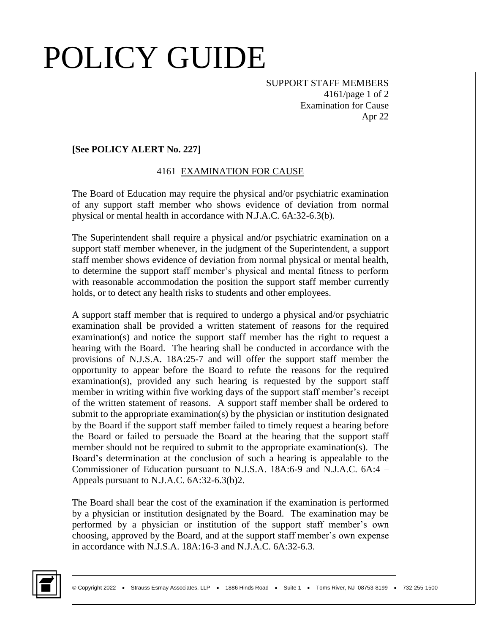SUPPORT STAFF MEMBERS 4161/page 1 of 2 Examination for Cause Apr 22

#### **[See POLICY ALERT No. 227]**

#### 4161 EXAMINATION FOR CAUSE

The Board of Education may require the physical and/or psychiatric examination of any support staff member who shows evidence of deviation from normal physical or mental health in accordance with N.J.A.C. 6A:32-6.3(b).

The Superintendent shall require a physical and/or psychiatric examination on a support staff member whenever, in the judgment of the Superintendent, a support staff member shows evidence of deviation from normal physical or mental health, to determine the support staff member's physical and mental fitness to perform with reasonable accommodation the position the support staff member currently holds, or to detect any health risks to students and other employees.

A support staff member that is required to undergo a physical and/or psychiatric examination shall be provided a written statement of reasons for the required examination(s) and notice the support staff member has the right to request a hearing with the Board. The hearing shall be conducted in accordance with the provisions of N.J.S.A. 18A:25-7 and will offer the support staff member the opportunity to appear before the Board to refute the reasons for the required examination(s), provided any such hearing is requested by the support staff member in writing within five working days of the support staff member's receipt of the written statement of reasons. A support staff member shall be ordered to submit to the appropriate examination(s) by the physician or institution designated by the Board if the support staff member failed to timely request a hearing before the Board or failed to persuade the Board at the hearing that the support staff member should not be required to submit to the appropriate examination(s). The Board's determination at the conclusion of such a hearing is appealable to the Commissioner of Education pursuant to N.J.S.A. 18A:6-9 and N.J.A.C. 6A:4 – Appeals pursuant to N.J.A.C. 6A:32-6.3(b)2.

The Board shall bear the cost of the examination if the examination is performed by a physician or institution designated by the Board. The examination may be performed by a physician or institution of the support staff member's own choosing, approved by the Board, and at the support staff member's own expense in accordance with N.J.S.A. 18A:16-3 and N.J.A.C. 6A:32-6.3.

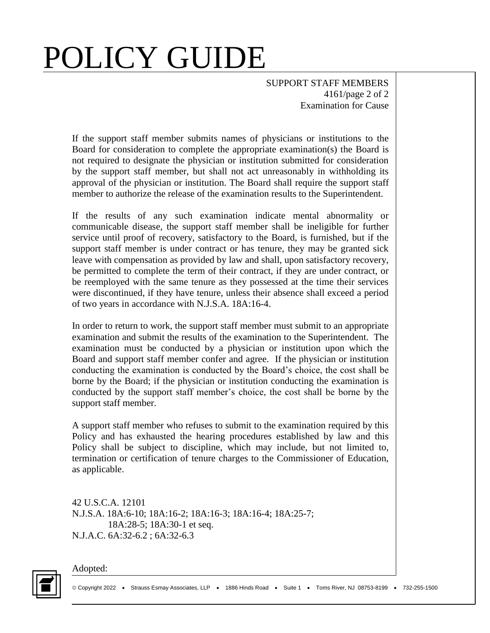SUPPORT STAFF MEMBERS 4161/page 2 of 2 Examination for Cause

If the support staff member submits names of physicians or institutions to the Board for consideration to complete the appropriate examination(s) the Board is not required to designate the physician or institution submitted for consideration by the support staff member, but shall not act unreasonably in withholding its approval of the physician or institution. The Board shall require the support staff member to authorize the release of the examination results to the Superintendent.

If the results of any such examination indicate mental abnormality or communicable disease, the support staff member shall be ineligible for further service until proof of recovery, satisfactory to the Board, is furnished, but if the support staff member is under contract or has tenure, they may be granted sick leave with compensation as provided by law and shall, upon satisfactory recovery, be permitted to complete the term of their contract, if they are under contract, or be reemployed with the same tenure as they possessed at the time their services were discontinued, if they have tenure, unless their absence shall exceed a period of two years in accordance with N.J.S.A. 18A:16-4.

In order to return to work, the support staff member must submit to an appropriate examination and submit the results of the examination to the Superintendent. The examination must be conducted by a physician or institution upon which the Board and support staff member confer and agree. If the physician or institution conducting the examination is conducted by the Board's choice, the cost shall be borne by the Board; if the physician or institution conducting the examination is conducted by the support staff member's choice, the cost shall be borne by the support staff member.

A support staff member who refuses to submit to the examination required by this Policy and has exhausted the hearing procedures established by law and this Policy shall be subject to discipline, which may include, but not limited to, termination or certification of tenure charges to the Commissioner of Education, as applicable.

42 U.S.C.A. 12101 N.J.S.A. 18A:6-10; 18A:16-2; 18A:16-3; 18A:16-4; 18A:25-7; 18A:28-5; 18A:30-1 et seq. N.J.A.C. 6A:32-6.2 ; 6A:32-6.3

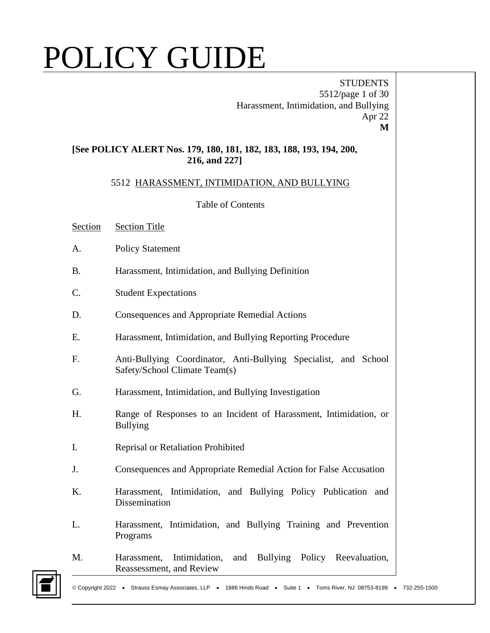**STUDENTS** 5512/page 1 of 30 Harassment, Intimidation, and Bullying Apr 22 **M**

#### **[See POLICY ALERT Nos. 179, 180, 181, 182, 183, 188, 193, 194, 200, 216, and 227]**

#### 5512 HARASSMENT, INTIMIDATION, AND BULLYING

Table of Contents

- Section Section Title
- A. Policy Statement
- B. Harassment, Intimidation, and Bullying Definition
- C. Student Expectations
- D. Consequences and Appropriate Remedial Actions
- E. Harassment, Intimidation, and Bullying Reporting Procedure
- F. Anti-Bullying Coordinator, Anti-Bullying Specialist, and School Safety/School Climate Team(s)
- G. Harassment, Intimidation, and Bullying Investigation
- H. Range of Responses to an Incident of Harassment, Intimidation, or Bullying
- I. Reprisal or Retaliation Prohibited
- J. Consequences and Appropriate Remedial Action for False Accusation
- K. Harassment, Intimidation, and Bullying Policy Publication and Dissemination
- L. Harassment, Intimidation, and Bullying Training and Prevention Programs
- M. Harassment, Intimidation, and Bullying Policy Reevaluation, Reassessment, and Review

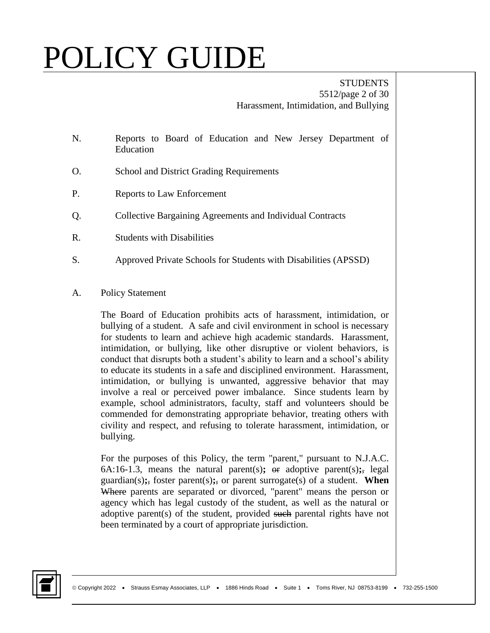#### **STUDENTS** 5512/page 2 of 30 Harassment, Intimidation, and Bullying

- N. Reports to Board of Education and New Jersey Department of Education
- O. School and District Grading Requirements
- P. Reports to Law Enforcement
- Q. Collective Bargaining Agreements and Individual Contracts
- R. Students with Disabilities
- S. Approved Private Schools for Students with Disabilities (APSSD)
- A. Policy Statement

The Board of Education prohibits acts of harassment, intimidation, or bullying of a student. A safe and civil environment in school is necessary for students to learn and achieve high academic standards. Harassment, intimidation, or bullying, like other disruptive or violent behaviors, is conduct that disrupts both a student's ability to learn and a school's ability to educate its students in a safe and disciplined environment. Harassment, intimidation, or bullying is unwanted, aggressive behavior that may involve a real or perceived power imbalance. Since students learn by example, school administrators, faculty, staff and volunteers should be commended for demonstrating appropriate behavior, treating others with civility and respect, and refusing to tolerate harassment, intimidation, or bullying.

For the purposes of this Policy, the term "parent," pursuant to N.J.A.C. 6A:16-1.3, means the natural parent(s);  $\Theta$ **r** adoptive parent(s); legal guardian(s)**;**, foster parent(s)**;**, or parent surrogate(s) of a student. **When**  Where parents are separated or divorced, "parent" means the person or agency which has legal custody of the student, as well as the natural or adoptive parent(s) of the student, provided such parental rights have not been terminated by a court of appropriate jurisdiction.

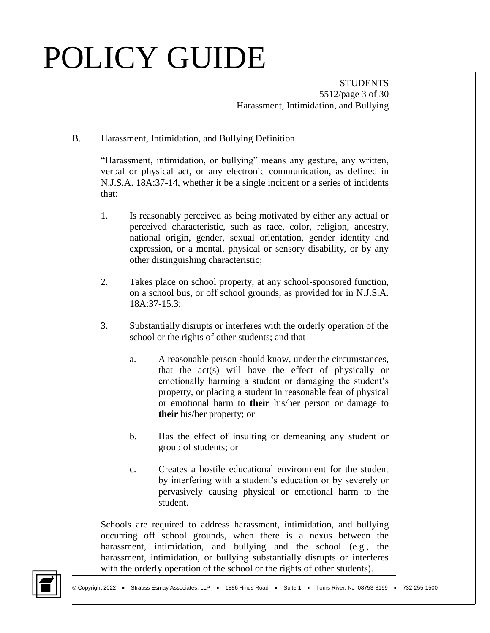**STUDENTS** 5512/page 3 of 30 Harassment, Intimidation, and Bullying

#### B. Harassment, Intimidation, and Bullying Definition

"Harassment, intimidation, or bullying" means any gesture, any written, verbal or physical act, or any electronic communication, as defined in N.J.S.A. 18A:37-14, whether it be a single incident or a series of incidents that:

- 1. Is reasonably perceived as being motivated by either any actual or perceived characteristic, such as race, color, religion, ancestry, national origin, gender, sexual orientation, gender identity and expression, or a mental, physical or sensory disability, or by any other distinguishing characteristic;
- 2. Takes place on school property, at any school-sponsored function, on a school bus, or off school grounds, as provided for in N.J.S.A. 18A:37-15.3;
- 3. Substantially disrupts or interferes with the orderly operation of the school or the rights of other students; and that
	- a. A reasonable person should know, under the circumstances, that the act(s) will have the effect of physically or emotionally harming a student or damaging the student's property, or placing a student in reasonable fear of physical or emotional harm to **their** his/her person or damage to **their** his/her property; or
	- b. Has the effect of insulting or demeaning any student or group of students; or
	- c. Creates a hostile educational environment for the student by interfering with a student's education or by severely or pervasively causing physical or emotional harm to the student.

Schools are required to address harassment, intimidation, and bullying occurring off school grounds, when there is a nexus between the harassment, intimidation, and bullying and the school (e.g., the harassment, intimidation, or bullying substantially disrupts or interferes with the orderly operation of the school or the rights of other students).

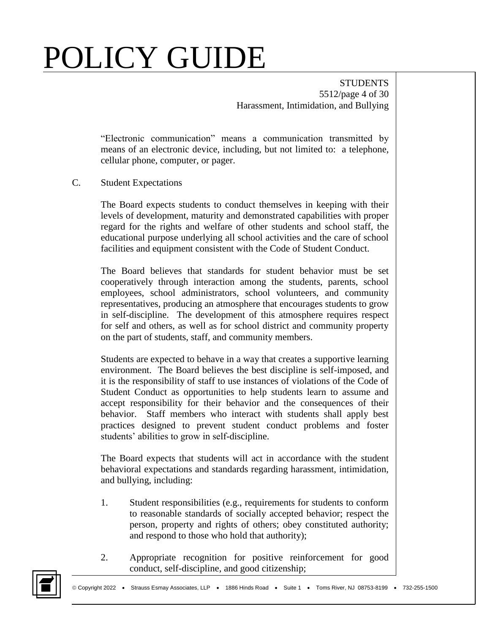**STUDENTS** 5512/page 4 of 30 Harassment, Intimidation, and Bullying

"Electronic communication" means a communication transmitted by means of an electronic device, including, but not limited to: a telephone, cellular phone, computer, or pager.

#### C. Student Expectations

The Board expects students to conduct themselves in keeping with their levels of development, maturity and demonstrated capabilities with proper regard for the rights and welfare of other students and school staff, the educational purpose underlying all school activities and the care of school facilities and equipment consistent with the Code of Student Conduct.

The Board believes that standards for student behavior must be set cooperatively through interaction among the students, parents, school employees, school administrators, school volunteers, and community representatives, producing an atmosphere that encourages students to grow in self-discipline. The development of this atmosphere requires respect for self and others, as well as for school district and community property on the part of students, staff, and community members.

Students are expected to behave in a way that creates a supportive learning environment. The Board believes the best discipline is self-imposed, and it is the responsibility of staff to use instances of violations of the Code of Student Conduct as opportunities to help students learn to assume and accept responsibility for their behavior and the consequences of their behavior. Staff members who interact with students shall apply best practices designed to prevent student conduct problems and foster students' abilities to grow in self-discipline.

The Board expects that students will act in accordance with the student behavioral expectations and standards regarding harassment, intimidation, and bullying, including:

- 1. Student responsibilities (e.g., requirements for students to conform to reasonable standards of socially accepted behavior; respect the person, property and rights of others; obey constituted authority; and respond to those who hold that authority);
- 2. Appropriate recognition for positive reinforcement for good conduct, self-discipline, and good citizenship;

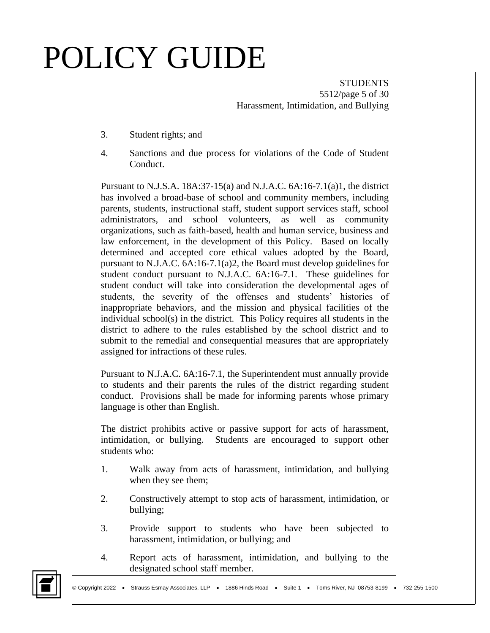**STUDENTS** 5512/page 5 of 30 Harassment, Intimidation, and Bullying

- 3. Student rights; and
- 4. Sanctions and due process for violations of the Code of Student Conduct.

Pursuant to N.J.S.A. 18A:37-15(a) and N.J.A.C. 6A:16-7.1(a)1, the district has involved a broad-base of school and community members, including parents, students, instructional staff, student support services staff, school administrators, and school volunteers, as well as community organizations, such as faith-based, health and human service, business and law enforcement, in the development of this Policy. Based on locally determined and accepted core ethical values adopted by the Board, pursuant to N.J.A.C. 6A:16-7.1(a)2, the Board must develop guidelines for student conduct pursuant to N.J.A.C. 6A:16-7.1. These guidelines for student conduct will take into consideration the developmental ages of students, the severity of the offenses and students' histories of inappropriate behaviors, and the mission and physical facilities of the individual school(s) in the district. This Policy requires all students in the district to adhere to the rules established by the school district and to submit to the remedial and consequential measures that are appropriately assigned for infractions of these rules.

Pursuant to N.J.A.C. 6A:16-7.1, the Superintendent must annually provide to students and their parents the rules of the district regarding student conduct. Provisions shall be made for informing parents whose primary language is other than English.

The district prohibits active or passive support for acts of harassment, intimidation, or bullying. Students are encouraged to support other students who:

- 1. Walk away from acts of harassment, intimidation, and bullying when they see them;
- 2. Constructively attempt to stop acts of harassment, intimidation, or bullying;
- 3. Provide support to students who have been subjected to harassment, intimidation, or bullying; and
- 4. Report acts of harassment, intimidation, and bullying to the designated school staff member.

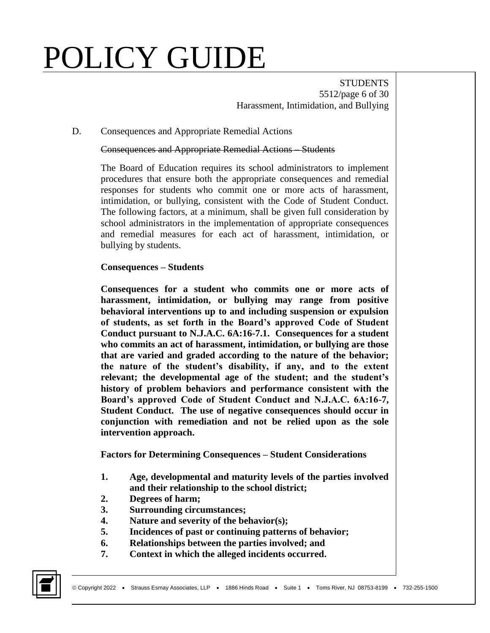**STUDENTS** 5512/page 6 of 30 Harassment, Intimidation, and Bullying

#### D. Consequences and Appropriate Remedial Actions

Consequences and Appropriate Remedial Actions – Students

The Board of Education requires its school administrators to implement procedures that ensure both the appropriate consequences and remedial responses for students who commit one or more acts of harassment, intimidation, or bullying, consistent with the Code of Student Conduct. The following factors, at a minimum, shall be given full consideration by school administrators in the implementation of appropriate consequences and remedial measures for each act of harassment, intimidation, or bullying by students.

#### **Consequences – Students**

**Consequences for a student who commits one or more acts of harassment, intimidation, or bullying may range from positive behavioral interventions up to and including suspension or expulsion of students, as set forth in the Board's approved Code of Student Conduct pursuant to N.J.A.C. 6A:16-7.1. Consequences for a student who commits an act of harassment, intimidation, or bullying are those that are varied and graded according to the nature of the behavior; the nature of the student's disability, if any, and to the extent relevant; the developmental age of the student; and the student's history of problem behaviors and performance consistent with the Board's approved Code of Student Conduct and N.J.A.C. 6A:16-7, Student Conduct. The use of negative consequences should occur in conjunction with remediation and not be relied upon as the sole intervention approach.** 

**Factors for Determining Consequences – Student Considerations**

- **1. Age, developmental and maturity levels of the parties involved and their relationship to the school district;**
- **2. Degrees of harm;**
- **3. Surrounding circumstances;**
- **4. Nature and severity of the behavior(s);**
- **5. Incidences of past or continuing patterns of behavior;**
- **6. Relationships between the parties involved; and**
- **7. Context in which the alleged incidents occurred.**

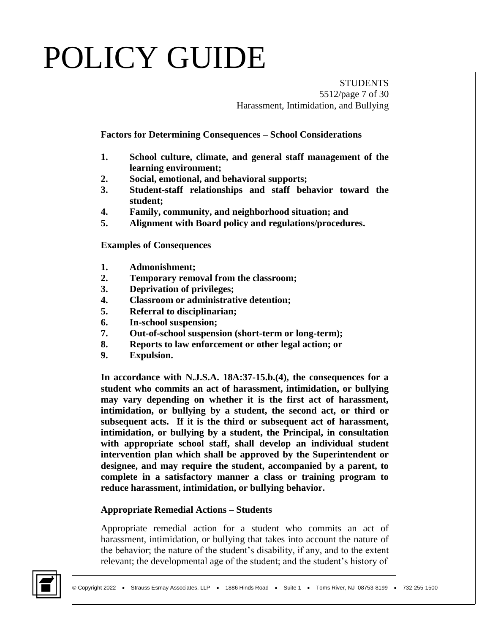**STUDENTS** 5512/page 7 of 30 Harassment, Intimidation, and Bullying

**Factors for Determining Consequences – School Considerations**

- **1. School culture, climate, and general staff management of the learning environment;**
- **2. Social, emotional, and behavioral supports;**
- **3. Student-staff relationships and staff behavior toward the student;**
- **4. Family, community, and neighborhood situation; and**
- **5. Alignment with Board policy and regulations/procedures.**

**Examples of Consequences**

- **1. Admonishment;**
- **2. Temporary removal from the classroom;**
- **3. Deprivation of privileges;**
- **4. Classroom or administrative detention;**
- **5. Referral to disciplinarian;**
- **6. In-school suspension;**
- **7. Out-of-school suspension (short-term or long-term);**
- **8. Reports to law enforcement or other legal action; or**
- **9. Expulsion.**

**In accordance with N.J.S.A. 18A:37-15.b.(4), the consequences for a student who commits an act of harassment, intimidation, or bullying may vary depending on whether it is the first act of harassment, intimidation, or bullying by a student, the second act, or third or subsequent acts. If it is the third or subsequent act of harassment, intimidation, or bullying by a student, the Principal, in consultation with appropriate school staff, shall develop an individual student intervention plan which shall be approved by the Superintendent or designee, and may require the student, accompanied by a parent, to complete in a satisfactory manner a class or training program to reduce harassment, intimidation, or bullying behavior.** 

#### **Appropriate Remedial Actions – Students**

Appropriate remedial action for a student who commits an act of harassment, intimidation, or bullying that takes into account the nature of the behavior; the nature of the student's disability, if any, and to the extent relevant; the developmental age of the student; and the student's history of

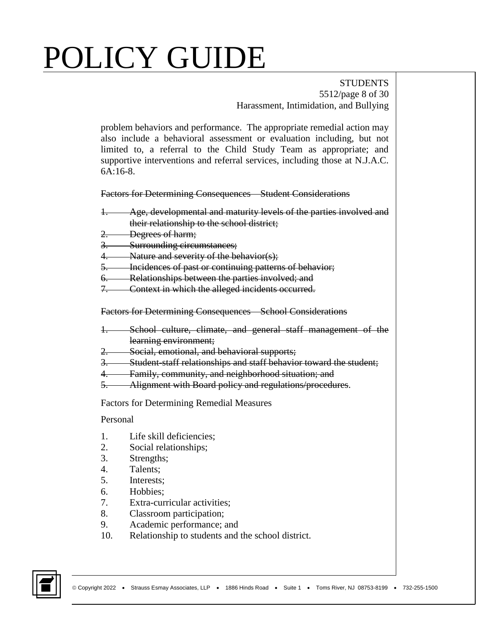#### **STUDENTS** 5512/page 8 of 30 Harassment, Intimidation, and Bullying

problem behaviors and performance. The appropriate remedial action may also include a behavioral assessment or evaluation including, but not limited to, a referral to the Child Study Team as appropriate; and supportive interventions and referral services, including those at N.J.A.C. 6A:16-8.

Factors for Determining Consequences – Student Considerations

- 1. Age, developmental and maturity levels of the parties involved and their relationship to the school district;
- Degrees of harm;
- 3. Surrounding circumstances;
- 4. Nature and severity of the behavior(s);
- 5. Incidences of past or continuing patterns of behavior;
- 6. Relationships between the parties involved; and
- 7. Context in which the alleged incidents occurred.

Factors for Determining Consequences – School Considerations

- School culture, climate, and general staff management of the learning environment;
- 2. Social, emotional, and behavioral supports;
- Student-staff relationships and staff behavior toward the student;
- 4. Family, community, and neighborhood situation; and
- 5. Alignment with Board policy and regulations/procedures.

Factors for Determining Remedial Measures

#### Personal

- 1. Life skill deficiencies;
- 2. Social relationships;
- 3. Strengths;
- 4. Talents;
- 5. Interests;
- 6. Hobbies;
- 7. Extra-curricular activities;
- 8. Classroom participation;
- 9. Academic performance; and
- 10. Relationship to students and the school district.

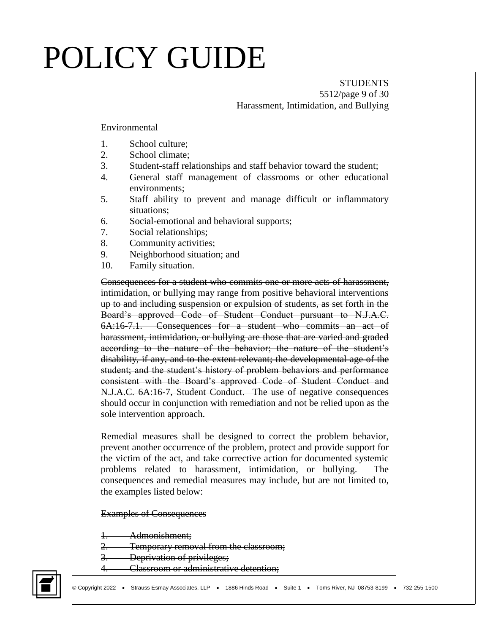#### **STUDENTS** 5512/page 9 of 30 Harassment, Intimidation, and Bullying

Environmental

- 1. School culture;
- 2. School climate;
- 3. Student-staff relationships and staff behavior toward the student;
- 4. General staff management of classrooms or other educational environments;
- 5. Staff ability to prevent and manage difficult or inflammatory situations;
- 6. Social-emotional and behavioral supports;
- 7. Social relationships;
- 8. Community activities;
- 9. Neighborhood situation; and
- 10. Family situation.

Consequences for a student who commits one or more acts of harassment, intimidation, or bullying may range from positive behavioral interventions up to and including suspension or expulsion of students, as set forth in the Board's approved Code of Student Conduct pursuant to N.J.A.C. 6A:16-7.1. Consequences for a student who commits an act of harassment, intimidation, or bullying are those that are varied and graded according to the nature of the behavior; the nature of the student's disability, if any, and to the extent relevant; the developmental age of the student; and the student's history of problem behaviors and performance consistent with the Board's approved Code of Student Conduct and N.J.A.C. 6A:16-7, Student Conduct. The use of negative consequences should occur in conjunction with remediation and not be relied upon as the sole intervention approach.

Remedial measures shall be designed to correct the problem behavior, prevent another occurrence of the problem, protect and provide support for the victim of the act, and take corrective action for documented systemic problems related to harassment, intimidation, or bullying. The consequences and remedial measures may include, but are not limited to, the examples listed below:

Examples of Consequences

Admonishment;

2. Temporary removal from the classroom;

3. Deprivation of privileges;

4. Classroom or administrative detention;

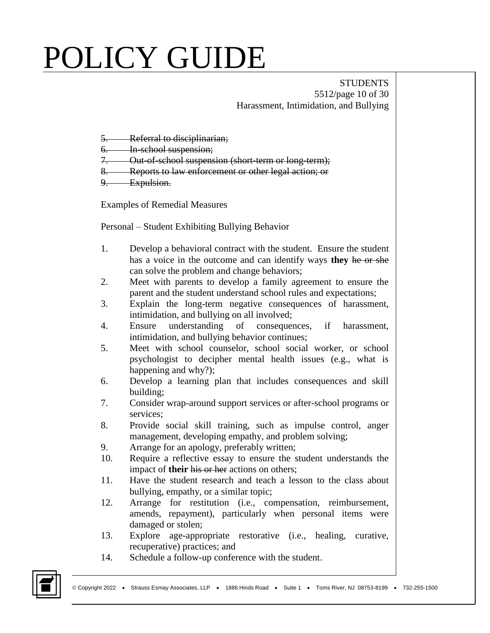**STUDENTS** 5512/page 10 of 30 Harassment, Intimidation, and Bullying

- 5. Referral to disciplinarian;
- 6. In-school suspension;
- 7. Out-of-school suspension (short-term or long-term);
- 8. Reports to law enforcement or other legal action; or
- 9. Expulsion.

Examples of Remedial Measures

Personal – Student Exhibiting Bullying Behavior

- 1. Develop a behavioral contract with the student. Ensure the student has a voice in the outcome and can identify ways **they** he or she can solve the problem and change behaviors;
- 2. Meet with parents to develop a family agreement to ensure the parent and the student understand school rules and expectations;
- 3. Explain the long-term negative consequences of harassment, intimidation, and bullying on all involved;
- 4. Ensure understanding of consequences, if harassment, intimidation, and bullying behavior continues;
- 5. Meet with school counselor, school social worker, or school psychologist to decipher mental health issues (e.g., what is happening and why?);
- 6. Develop a learning plan that includes consequences and skill building;
- 7. Consider wrap-around support services or after-school programs or services;
- 8. Provide social skill training, such as impulse control, anger management, developing empathy, and problem solving;
- 9. Arrange for an apology, preferably written;
- 10. Require a reflective essay to ensure the student understands the impact of **their** his or her actions on others;
- 11. Have the student research and teach a lesson to the class about bullying, empathy, or a similar topic;
- 12. Arrange for restitution (i.e., compensation, reimbursement, amends, repayment), particularly when personal items were damaged or stolen;
- 13. Explore age-appropriate restorative (i.e., healing, curative, recuperative) practices; and
- 14. Schedule a follow-up conference with the student.

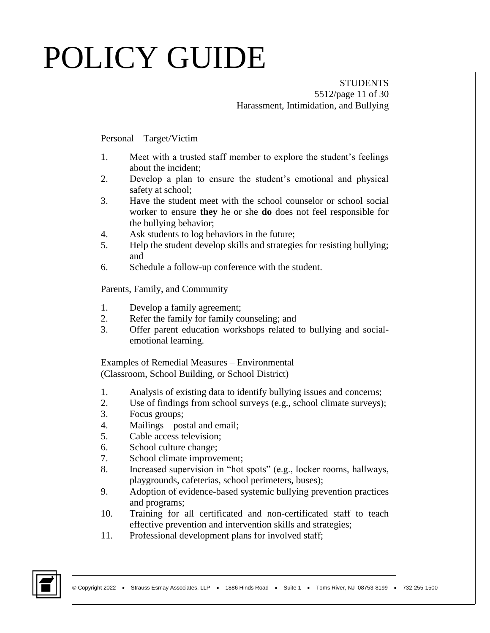#### **STUDENTS** 5512/page 11 of 30 Harassment, Intimidation, and Bullying

#### Personal – Target/Victim

- 1. Meet with a trusted staff member to explore the student's feelings about the incident;
- 2. Develop a plan to ensure the student's emotional and physical safety at school;
- 3. Have the student meet with the school counselor or school social worker to ensure **they** he or she **do** does not feel responsible for the bullying behavior;
- 4. Ask students to log behaviors in the future;
- 5. Help the student develop skills and strategies for resisting bullying; and
- 6. Schedule a follow-up conference with the student.

#### Parents, Family, and Community

- 1. Develop a family agreement;
- 2. Refer the family for family counseling; and
- 3. Offer parent education workshops related to bullying and socialemotional learning.

Examples of Remedial Measures – Environmental (Classroom, School Building, or School District)

- 1. Analysis of existing data to identify bullying issues and concerns;
- 2. Use of findings from school surveys (e.g., school climate surveys);
- 3. Focus groups;
- 4. Mailings postal and email;
- 5. Cable access television;
- 6. School culture change;
- 7. School climate improvement;
- 8. Increased supervision in "hot spots" (e.g., locker rooms, hallways, playgrounds, cafeterias, school perimeters, buses);
- 9. Adoption of evidence-based systemic bullying prevention practices and programs;
- 10. Training for all certificated and non-certificated staff to teach effective prevention and intervention skills and strategies;
- 11. Professional development plans for involved staff;

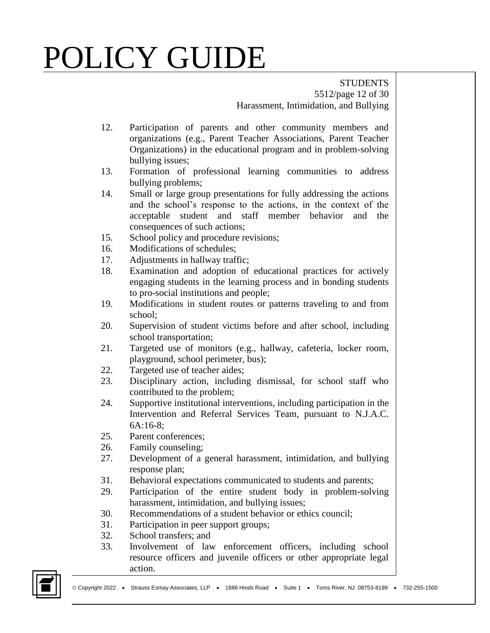STUDENTS 5512/page 12 of 30 Harassment, Intimidation, and Bullying

- 12. Participation of parents and other community members and organizations (e.g., Parent Teacher Associations, Parent Teacher Organizations) in the educational program and in problem-solving bullying issues;
- 13. Formation of professional learning communities to address bullying problems;
- 14. Small or large group presentations for fully addressing the actions and the school's response to the actions, in the context of the acceptable student and staff member behavior and the consequences of such actions;
- 15. School policy and procedure revisions;
- 16. Modifications of schedules;
- 17. Adjustments in hallway traffic;
- 18. Examination and adoption of educational practices for actively engaging students in the learning process and in bonding students to pro-social institutions and people;
- 19. Modifications in student routes or patterns traveling to and from school;
- 20. Supervision of student victims before and after school, including school transportation;
- 21. Targeted use of monitors (e.g., hallway, cafeteria, locker room, playground, school perimeter, bus);
- 22. Targeted use of teacher aides;
- 23. Disciplinary action, including dismissal, for school staff who contributed to the problem;
- 24. Supportive institutional interventions, including participation in the Intervention and Referral Services Team, pursuant to N.J.A.C. 6A:16-8;
- 25. Parent conferences;
- 26. Family counseling;
- 27. Development of a general harassment, intimidation, and bullying response plan;
- 31. Behavioral expectations communicated to students and parents;
- 29. Participation of the entire student body in problem-solving harassment, intimidation, and bullying issues;
- 30. Recommendations of a student behavior or ethics council;
- 31. Participation in peer support groups;
- 32. School transfers; and
- 33. Involvement of law enforcement officers, including school resource officers and juvenile officers or other appropriate legal action.

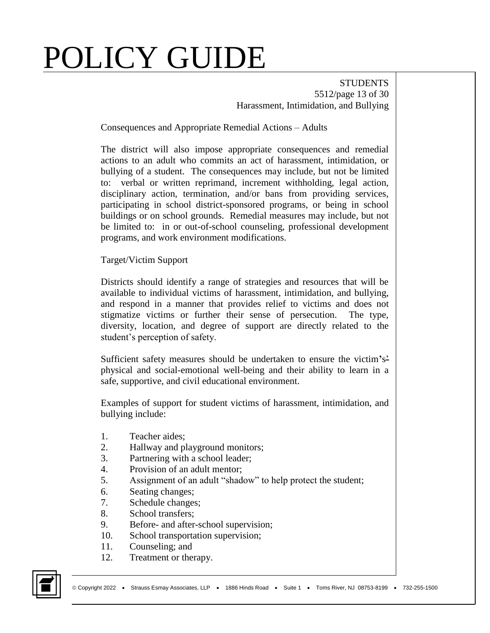**STUDENTS** 5512/page 13 of 30 Harassment, Intimidation, and Bullying

Consequences and Appropriate Remedial Actions – Adults

The district will also impose appropriate consequences and remedial actions to an adult who commits an act of harassment, intimidation, or bullying of a student. The consequences may include, but not be limited to: verbal or written reprimand, increment withholding, legal action, disciplinary action, termination, and/or bans from providing services, participating in school district-sponsored programs, or being in school buildings or on school grounds. Remedial measures may include, but not be limited to: in or out-of-school counseling, professional development programs, and work environment modifications.

Target/Victim Support

Districts should identify a range of strategies and resources that will be available to individual victims of harassment, intimidation, and bullying, and respond in a manner that provides relief to victims and does not stigmatize victims or further their sense of persecution. The type, diversity, location, and degree of support are directly related to the student's perception of safety.

Sufficient safety measures should be undertaken to ensure the victim**'**s' physical and social-emotional well-being and their ability to learn in a safe, supportive, and civil educational environment.

Examples of support for student victims of harassment, intimidation, and bullying include:

- 1. Teacher aides;
- 2. Hallway and playground monitors;
- 3. Partnering with a school leader;
- 4. Provision of an adult mentor;
- 5. Assignment of an adult "shadow" to help protect the student;
- 6. Seating changes;
- 7. Schedule changes;
- 8. School transfers;
- 9. Before- and after-school supervision;
- 10. School transportation supervision;
- 11. Counseling; and
- 12. Treatment or therapy.

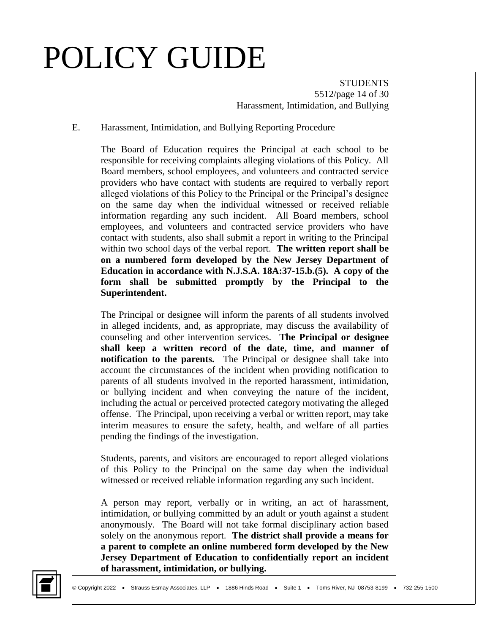**STUDENTS** 5512/page 14 of 30 Harassment, Intimidation, and Bullying

#### E. Harassment, Intimidation, and Bullying Reporting Procedure

The Board of Education requires the Principal at each school to be responsible for receiving complaints alleging violations of this Policy. All Board members, school employees, and volunteers and contracted service providers who have contact with students are required to verbally report alleged violations of this Policy to the Principal or the Principal's designee on the same day when the individual witnessed or received reliable information regarding any such incident. All Board members, school employees, and volunteers and contracted service providers who have contact with students, also shall submit a report in writing to the Principal within two school days of the verbal report. **The written report shall be on a numbered form developed by the New Jersey Department of Education in accordance with N.J.S.A. 18A:37-15.b.(5). A copy of the form shall be submitted promptly by the Principal to the Superintendent.** 

The Principal or designee will inform the parents of all students involved in alleged incidents, and, as appropriate, may discuss the availability of counseling and other intervention services. **The Principal or designee shall keep a written record of the date, time, and manner of notification to the parents.** The Principal or designee shall take into account the circumstances of the incident when providing notification to parents of all students involved in the reported harassment, intimidation, or bullying incident and when conveying the nature of the incident, including the actual or perceived protected category motivating the alleged offense. The Principal, upon receiving a verbal or written report, may take interim measures to ensure the safety, health, and welfare of all parties pending the findings of the investigation.

Students, parents, and visitors are encouraged to report alleged violations of this Policy to the Principal on the same day when the individual witnessed or received reliable information regarding any such incident.

A person may report, verbally or in writing, an act of harassment, intimidation, or bullying committed by an adult or youth against a student anonymously. The Board will not take formal disciplinary action based solely on the anonymous report. **The district shall provide a means for a parent to complete an online numbered form developed by the New Jersey Department of Education to confidentially report an incident of harassment, intimidation, or bullying.** 

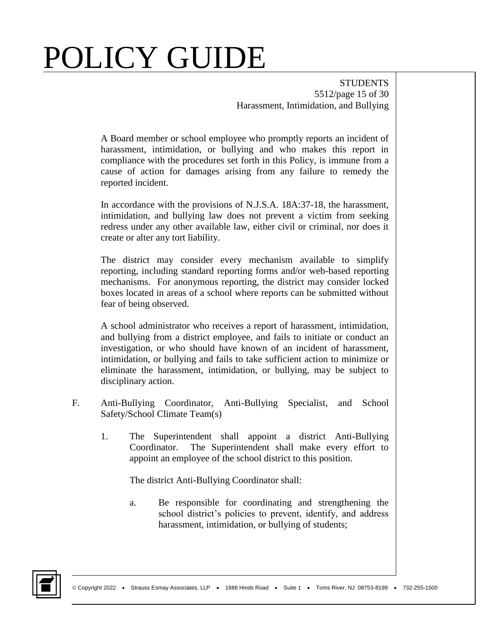**STUDENTS** 5512/page 15 of 30 Harassment, Intimidation, and Bullying

A Board member or school employee who promptly reports an incident of harassment, intimidation, or bullying and who makes this report in compliance with the procedures set forth in this Policy, is immune from a cause of action for damages arising from any failure to remedy the reported incident.

In accordance with the provisions of N.J.S.A. 18A:37-18, the harassment, intimidation, and bullying law does not prevent a victim from seeking redress under any other available law, either civil or criminal, nor does it create or alter any tort liability.

The district may consider every mechanism available to simplify reporting, including standard reporting forms and/or web-based reporting mechanisms. For anonymous reporting, the district may consider locked boxes located in areas of a school where reports can be submitted without fear of being observed.

A school administrator who receives a report of harassment, intimidation, and bullying from a district employee, and fails to initiate or conduct an investigation, or who should have known of an incident of harassment, intimidation, or bullying and fails to take sufficient action to minimize or eliminate the harassment, intimidation, or bullying, may be subject to disciplinary action.

- F. Anti-Bullying Coordinator, Anti-Bullying Specialist, and School Safety/School Climate Team(s)
	- 1. The Superintendent shall appoint a district Anti-Bullying Coordinator. The Superintendent shall make every effort to appoint an employee of the school district to this position.

The district Anti-Bullying Coordinator shall:

a. Be responsible for coordinating and strengthening the school district's policies to prevent, identify, and address harassment, intimidation, or bullying of students;

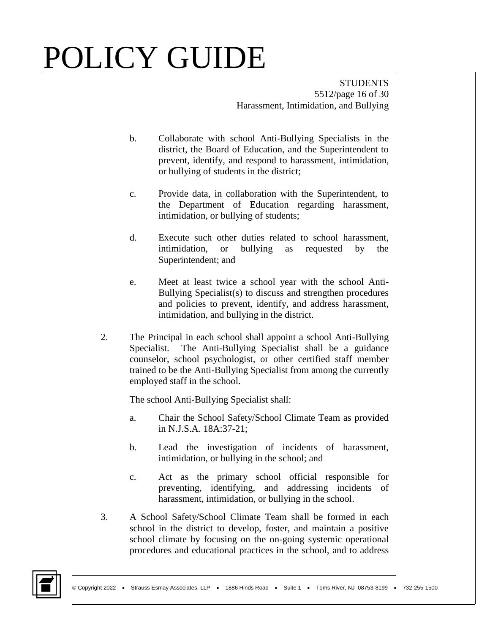**STUDENTS** 5512/page 16 of 30 Harassment, Intimidation, and Bullying

- b. Collaborate with school Anti-Bullying Specialists in the district, the Board of Education, and the Superintendent to prevent, identify, and respond to harassment, intimidation, or bullying of students in the district;
- c. Provide data, in collaboration with the Superintendent, to the Department of Education regarding harassment, intimidation, or bullying of students;
- d. Execute such other duties related to school harassment, intimidation, or bullying as requested by the Superintendent; and
- e. Meet at least twice a school year with the school Anti-Bullying Specialist(s) to discuss and strengthen procedures and policies to prevent, identify, and address harassment, intimidation, and bullying in the district.
- 2. The Principal in each school shall appoint a school Anti-Bullying Specialist. The Anti-Bullying Specialist shall be a guidance counselor, school psychologist, or other certified staff member trained to be the Anti-Bullying Specialist from among the currently employed staff in the school.

The school Anti-Bullying Specialist shall:

- a. Chair the School Safety/School Climate Team as provided in N.J.S.A. 18A:37-21;
- b. Lead the investigation of incidents of harassment, intimidation, or bullying in the school; and
- c. Act as the primary school official responsible for preventing, identifying, and addressing incidents of harassment, intimidation, or bullying in the school.
- 3. A School Safety/School Climate Team shall be formed in each school in the district to develop, foster, and maintain a positive school climate by focusing on the on-going systemic operational procedures and educational practices in the school, and to address

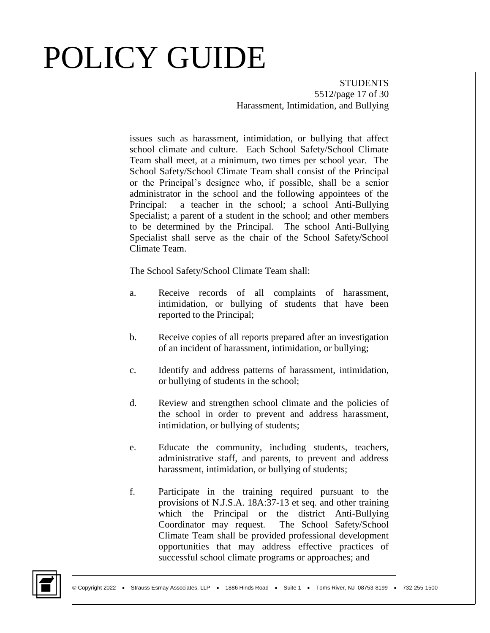**STUDENTS** 5512/page 17 of 30 Harassment, Intimidation, and Bullying

issues such as harassment, intimidation, or bullying that affect school climate and culture. Each School Safety/School Climate Team shall meet, at a minimum, two times per school year. The School Safety/School Climate Team shall consist of the Principal or the Principal's designee who, if possible, shall be a senior administrator in the school and the following appointees of the Principal: a teacher in the school; a school Anti-Bullying Specialist; a parent of a student in the school; and other members to be determined by the Principal. The school Anti-Bullying Specialist shall serve as the chair of the School Safety/School Climate Team.

The School Safety/School Climate Team shall:

- a. Receive records of all complaints of harassment, intimidation, or bullying of students that have been reported to the Principal;
- b. Receive copies of all reports prepared after an investigation of an incident of harassment, intimidation, or bullying;
- c. Identify and address patterns of harassment, intimidation, or bullying of students in the school;
- d. Review and strengthen school climate and the policies of the school in order to prevent and address harassment, intimidation, or bullying of students;
- e. Educate the community, including students, teachers, administrative staff, and parents, to prevent and address harassment, intimidation, or bullying of students;
- f. Participate in the training required pursuant to the provisions of N.J.S.A. 18A:37-13 et seq. and other training which the Principal or the district Anti-Bullying Coordinator may request. The School Safety/School Climate Team shall be provided professional development opportunities that may address effective practices of successful school climate programs or approaches; and

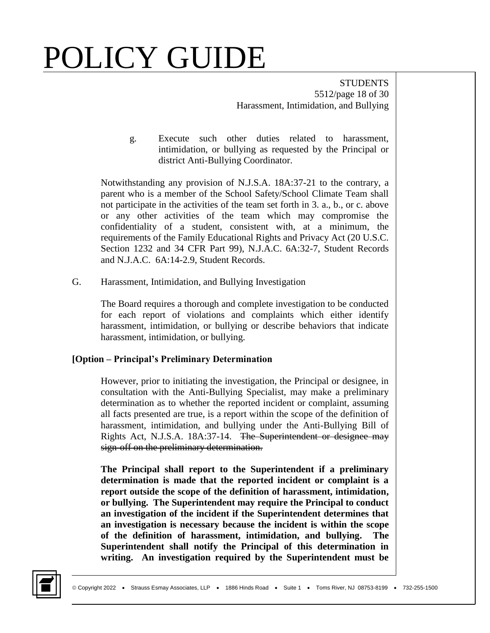**STUDENTS** 5512/page 18 of 30 Harassment, Intimidation, and Bullying

g. Execute such other duties related to harassment, intimidation, or bullying as requested by the Principal or district Anti-Bullying Coordinator.

Notwithstanding any provision of N.J.S.A. 18A:37-21 to the contrary, a parent who is a member of the School Safety/School Climate Team shall not participate in the activities of the team set forth in 3. a., b., or c. above or any other activities of the team which may compromise the confidentiality of a student, consistent with, at a minimum, the requirements of the Family Educational Rights and Privacy Act (20 U.S.C. Section 1232 and 34 CFR Part 99), N.J.A.C. 6A:32-7, Student Records and N.J.A.C. 6A:14-2.9, Student Records.

G. Harassment, Intimidation, and Bullying Investigation

The Board requires a thorough and complete investigation to be conducted for each report of violations and complaints which either identify harassment, intimidation, or bullying or describe behaviors that indicate harassment, intimidation, or bullying.

#### **[Option – Principal's Preliminary Determination**

However, prior to initiating the investigation, the Principal or designee, in consultation with the Anti-Bullying Specialist, may make a preliminary determination as to whether the reported incident or complaint, assuming all facts presented are true, is a report within the scope of the definition of harassment, intimidation, and bullying under the Anti-Bullying Bill of Rights Act, N.J.S.A. 18A:37-14. The Superintendent or designee may sign-off on the preliminary determination.

**The Principal shall report to the Superintendent if a preliminary determination is made that the reported incident or complaint is a report outside the scope of the definition of harassment, intimidation, or bullying. The Superintendent may require the Principal to conduct an investigation of the incident if the Superintendent determines that an investigation is necessary because the incident is within the scope of the definition of harassment, intimidation, and bullying. The Superintendent shall notify the Principal of this determination in writing. An investigation required by the Superintendent must be** 

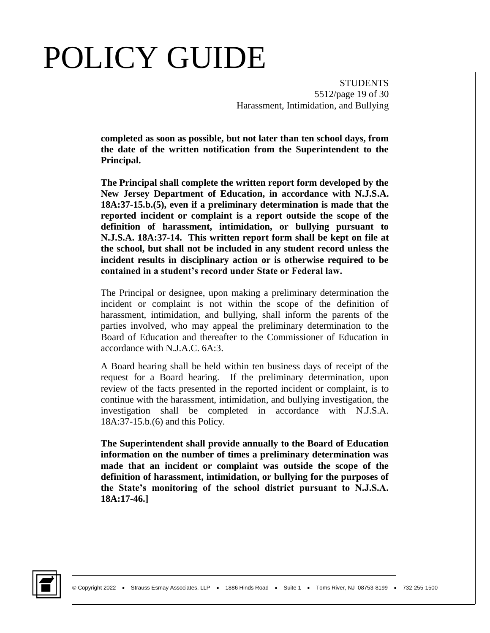**STUDENTS** 5512/page 19 of 30 Harassment, Intimidation, and Bullying

**completed as soon as possible, but not later than ten school days, from the date of the written notification from the Superintendent to the Principal.** 

**The Principal shall complete the written report form developed by the New Jersey Department of Education, in accordance with N.J.S.A. 18A:37-15.b.(5), even if a preliminary determination is made that the reported incident or complaint is a report outside the scope of the definition of harassment, intimidation, or bullying pursuant to N.J.S.A. 18A:37-14. This written report form shall be kept on file at the school, but shall not be included in any student record unless the incident results in disciplinary action or is otherwise required to be contained in a student's record under State or Federal law.**

The Principal or designee, upon making a preliminary determination the incident or complaint is not within the scope of the definition of harassment, intimidation, and bullying, shall inform the parents of the parties involved, who may appeal the preliminary determination to the Board of Education and thereafter to the Commissioner of Education in accordance with N.J.A.C. 6A:3.

A Board hearing shall be held within ten business days of receipt of the request for a Board hearing. If the preliminary determination, upon review of the facts presented in the reported incident or complaint, is to continue with the harassment, intimidation, and bullying investigation, the investigation shall be completed in accordance with N.J.S.A. 18A:37-15.b.(6) and this Policy.

**The Superintendent shall provide annually to the Board of Education information on the number of times a preliminary determination was made that an incident or complaint was outside the scope of the definition of harassment, intimidation, or bullying for the purposes of the State's monitoring of the school district pursuant to N.J.S.A. 18A:17-46.]**

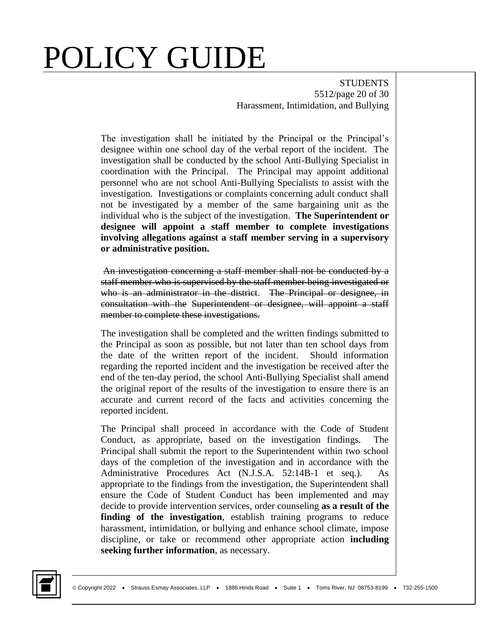**STUDENTS** 5512/page 20 of 30 Harassment, Intimidation, and Bullying

The investigation shall be initiated by the Principal or the Principal's designee within one school day of the verbal report of the incident. The investigation shall be conducted by the school Anti-Bullying Specialist in coordination with the Principal. The Principal may appoint additional personnel who are not school Anti-Bullying Specialists to assist with the investigation. Investigations or complaints concerning adult conduct shall not be investigated by a member of the same bargaining unit as the individual who is the subject of the investigation. **The Superintendent or designee will appoint a staff member to complete investigations involving allegations against a staff member serving in a supervisory or administrative position.**

An investigation concerning a staff member shall not be conducted by a staff member who is supervised by the staff member being investigated or who is an administrator in the district. The Principal or designee, in consultation with the Superintendent or designee, will appoint a staff member to complete these investigations.

The investigation shall be completed and the written findings submitted to the Principal as soon as possible, but not later than ten school days from the date of the written report of the incident. Should information regarding the reported incident and the investigation be received after the end of the ten-day period, the school Anti-Bullying Specialist shall amend the original report of the results of the investigation to ensure there is an accurate and current record of the facts and activities concerning the reported incident.

The Principal shall proceed in accordance with the Code of Student Conduct, as appropriate, based on the investigation findings. The Principal shall submit the report to the Superintendent within two school days of the completion of the investigation and in accordance with the Administrative Procedures Act (N.J.S.A. 52:14B-1 et seq.). As appropriate to the findings from the investigation, the Superintendent shall ensure the Code of Student Conduct has been implemented and may decide to provide intervention services, order counseling **as a result of the finding of the investigation**, establish training programs to reduce harassment, intimidation, or bullying and enhance school climate, impose discipline, or take or recommend other appropriate action **including seeking further information**, as necessary.

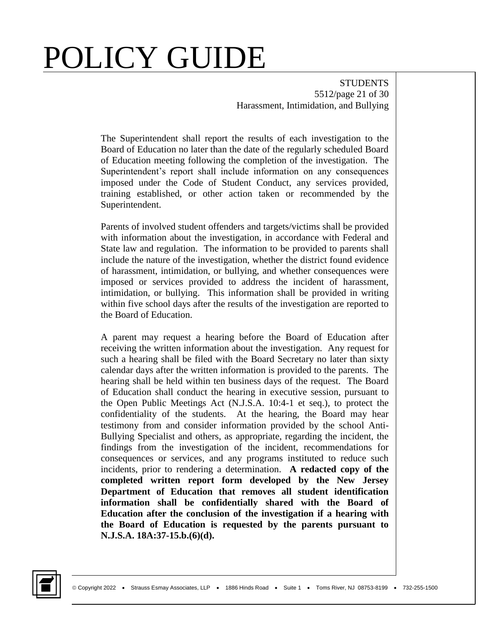**STUDENTS** 5512/page 21 of 30 Harassment, Intimidation, and Bullying

The Superintendent shall report the results of each investigation to the Board of Education no later than the date of the regularly scheduled Board of Education meeting following the completion of the investigation. The Superintendent's report shall include information on any consequences imposed under the Code of Student Conduct, any services provided, training established, or other action taken or recommended by the Superintendent.

Parents of involved student offenders and targets/victims shall be provided with information about the investigation, in accordance with Federal and State law and regulation. The information to be provided to parents shall include the nature of the investigation, whether the district found evidence of harassment, intimidation, or bullying, and whether consequences were imposed or services provided to address the incident of harassment, intimidation, or bullying. This information shall be provided in writing within five school days after the results of the investigation are reported to the Board of Education.

A parent may request a hearing before the Board of Education after receiving the written information about the investigation. Any request for such a hearing shall be filed with the Board Secretary no later than sixty calendar days after the written information is provided to the parents. The hearing shall be held within ten business days of the request. The Board of Education shall conduct the hearing in executive session, pursuant to the Open Public Meetings Act (N.J.S.A. 10:4-1 et seq.), to protect the confidentiality of the students. At the hearing, the Board may hear testimony from and consider information provided by the school Anti-Bullying Specialist and others, as appropriate, regarding the incident, the findings from the investigation of the incident, recommendations for consequences or services, and any programs instituted to reduce such incidents, prior to rendering a determination. **A redacted copy of the completed written report form developed by the New Jersey Department of Education that removes all student identification information shall be confidentially shared with the Board of Education after the conclusion of the investigation if a hearing with the Board of Education is requested by the parents pursuant to N.J.S.A. 18A:37-15.b.(6)(d).**

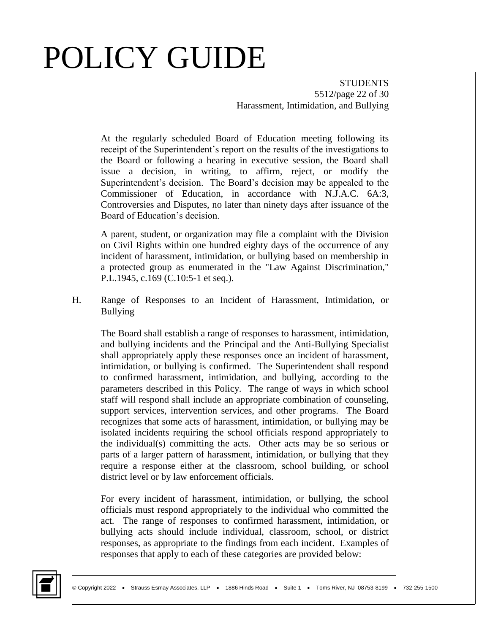**STUDENTS** 5512/page 22 of 30 Harassment, Intimidation, and Bullying

At the regularly scheduled Board of Education meeting following its receipt of the Superintendent's report on the results of the investigations to the Board or following a hearing in executive session, the Board shall issue a decision, in writing, to affirm, reject, or modify the Superintendent's decision. The Board's decision may be appealed to the Commissioner of Education, in accordance with N.J.A.C. 6A:3, Controversies and Disputes, no later than ninety days after issuance of the Board of Education's decision.

A parent, student, or organization may file a complaint with the Division on Civil Rights within one hundred eighty days of the occurrence of any incident of harassment, intimidation, or bullying based on membership in a protected group as enumerated in the "Law Against Discrimination," P.L.1945, c.169 (C.10:5-1 et seq.).

H. Range of Responses to an Incident of Harassment, Intimidation, or Bullying

The Board shall establish a range of responses to harassment, intimidation, and bullying incidents and the Principal and the Anti-Bullying Specialist shall appropriately apply these responses once an incident of harassment, intimidation, or bullying is confirmed. The Superintendent shall respond to confirmed harassment, intimidation, and bullying, according to the parameters described in this Policy. The range of ways in which school staff will respond shall include an appropriate combination of counseling, support services, intervention services, and other programs. The Board recognizes that some acts of harassment, intimidation, or bullying may be isolated incidents requiring the school officials respond appropriately to the individual(s) committing the acts. Other acts may be so serious or parts of a larger pattern of harassment, intimidation, or bullying that they require a response either at the classroom, school building, or school district level or by law enforcement officials.

For every incident of harassment, intimidation, or bullying, the school officials must respond appropriately to the individual who committed the act. The range of responses to confirmed harassment, intimidation, or bullying acts should include individual, classroom, school, or district responses, as appropriate to the findings from each incident. Examples of responses that apply to each of these categories are provided below:

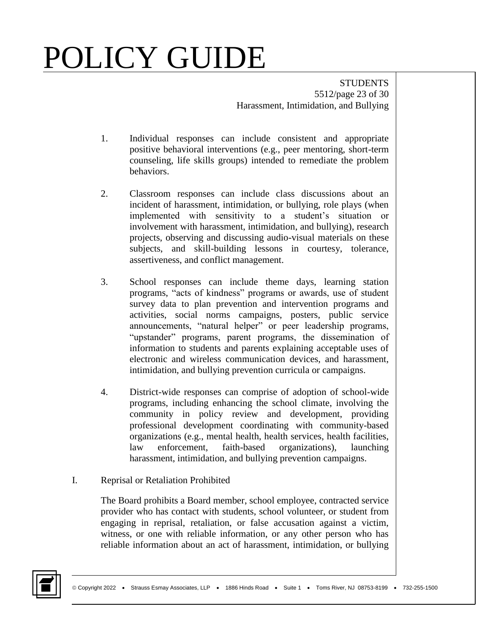**STUDENTS** 5512/page 23 of 30 Harassment, Intimidation, and Bullying

- 1. Individual responses can include consistent and appropriate positive behavioral interventions (e.g., peer mentoring, short-term counseling, life skills groups) intended to remediate the problem behaviors.
- 2. Classroom responses can include class discussions about an incident of harassment, intimidation, or bullying, role plays (when implemented with sensitivity to a student's situation or involvement with harassment, intimidation, and bullying), research projects, observing and discussing audio-visual materials on these subjects, and skill-building lessons in courtesy, tolerance, assertiveness, and conflict management.
- 3. School responses can include theme days, learning station programs, "acts of kindness" programs or awards, use of student survey data to plan prevention and intervention programs and activities, social norms campaigns, posters, public service announcements, "natural helper" or peer leadership programs, "upstander" programs, parent programs, the dissemination of information to students and parents explaining acceptable uses of electronic and wireless communication devices, and harassment, intimidation, and bullying prevention curricula or campaigns.
- 4. District-wide responses can comprise of adoption of school-wide programs, including enhancing the school climate, involving the community in policy review and development, providing professional development coordinating with community-based organizations (e.g., mental health, health services, health facilities, law enforcement, faith-based organizations), launching harassment, intimidation, and bullying prevention campaigns.
- I. Reprisal or Retaliation Prohibited

The Board prohibits a Board member, school employee, contracted service provider who has contact with students, school volunteer, or student from engaging in reprisal, retaliation, or false accusation against a victim, witness, or one with reliable information, or any other person who has reliable information about an act of harassment, intimidation, or bullying

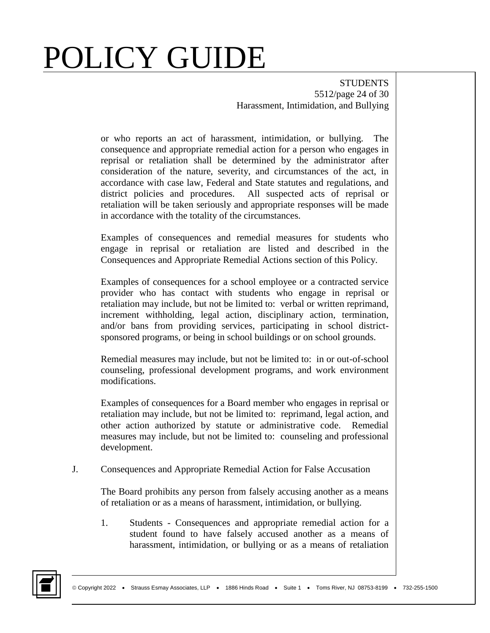**STUDENTS** 5512/page 24 of 30 Harassment, Intimidation, and Bullying

or who reports an act of harassment, intimidation, or bullying. The consequence and appropriate remedial action for a person who engages in reprisal or retaliation shall be determined by the administrator after consideration of the nature, severity, and circumstances of the act, in accordance with case law, Federal and State statutes and regulations, and district policies and procedures. All suspected acts of reprisal or retaliation will be taken seriously and appropriate responses will be made in accordance with the totality of the circumstances.

Examples of consequences and remedial measures for students who engage in reprisal or retaliation are listed and described in the Consequences and Appropriate Remedial Actions section of this Policy.

Examples of consequences for a school employee or a contracted service provider who has contact with students who engage in reprisal or retaliation may include, but not be limited to: verbal or written reprimand, increment withholding, legal action, disciplinary action, termination, and/or bans from providing services, participating in school districtsponsored programs, or being in school buildings or on school grounds.

Remedial measures may include, but not be limited to: in or out-of-school counseling, professional development programs, and work environment modifications.

Examples of consequences for a Board member who engages in reprisal or retaliation may include, but not be limited to: reprimand, legal action, and other action authorized by statute or administrative code. Remedial measures may include, but not be limited to: counseling and professional development.

J. Consequences and Appropriate Remedial Action for False Accusation

The Board prohibits any person from falsely accusing another as a means of retaliation or as a means of harassment, intimidation, or bullying.

1. Students - Consequences and appropriate remedial action for a student found to have falsely accused another as a means of harassment, intimidation, or bullying or as a means of retaliation

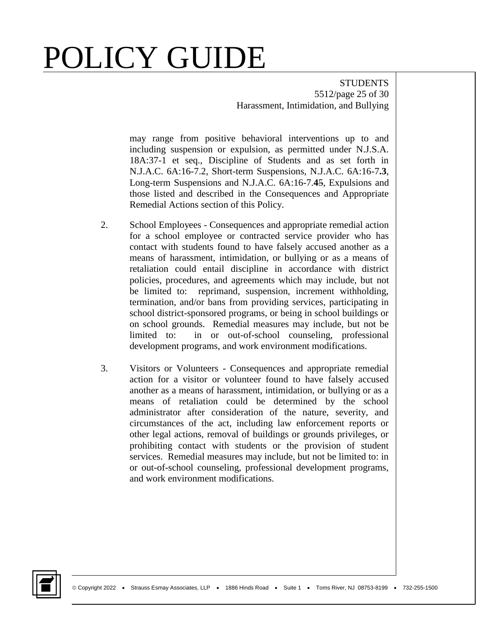**STUDENTS** 5512/page 25 of 30 Harassment, Intimidation, and Bullying

may range from positive behavioral interventions up to and including suspension or expulsion, as permitted under N.J.S.A. 18A:37-1 et seq., Discipline of Students and as set forth in N.J.A.C. 6A:16-7.2, Short-term Suspensions, N.J.A.C. 6A:16-7**.3**, Long-term Suspensions and N.J.A.C. 6A:16-7.**4**5, Expulsions and those listed and described in the Consequences and Appropriate Remedial Actions section of this Policy.

- 2. School Employees Consequences and appropriate remedial action for a school employee or contracted service provider who has contact with students found to have falsely accused another as a means of harassment, intimidation, or bullying or as a means of retaliation could entail discipline in accordance with district policies, procedures, and agreements which may include, but not be limited to: reprimand, suspension, increment withholding, termination, and/or bans from providing services, participating in school district-sponsored programs, or being in school buildings or on school grounds. Remedial measures may include, but not be limited to: in or out-of-school counseling, professional development programs, and work environment modifications.
- 3. Visitors or Volunteers Consequences and appropriate remedial action for a visitor or volunteer found to have falsely accused another as a means of harassment, intimidation, or bullying or as a means of retaliation could be determined by the school administrator after consideration of the nature, severity, and circumstances of the act, including law enforcement reports or other legal actions, removal of buildings or grounds privileges, or prohibiting contact with students or the provision of student services. Remedial measures may include, but not be limited to: in or out-of-school counseling, professional development programs, and work environment modifications.

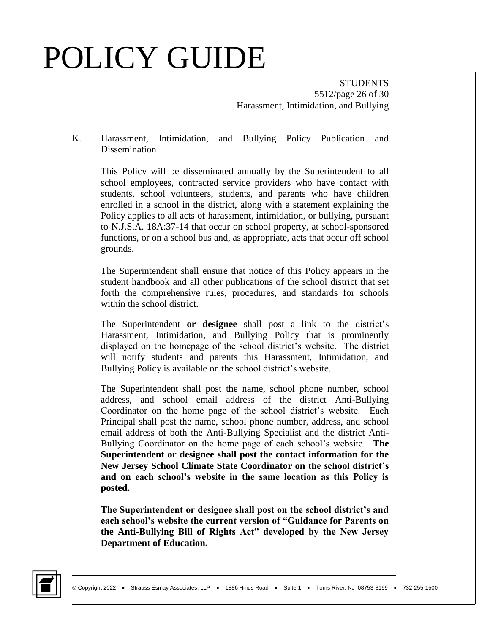**STUDENTS** 5512/page 26 of 30 Harassment, Intimidation, and Bullying

K. Harassment, Intimidation, and Bullying Policy Publication and Dissemination

This Policy will be disseminated annually by the Superintendent to all school employees, contracted service providers who have contact with students, school volunteers, students, and parents who have children enrolled in a school in the district, along with a statement explaining the Policy applies to all acts of harassment, intimidation, or bullying, pursuant to N.J.S.A. 18A:37-14 that occur on school property, at school-sponsored functions, or on a school bus and, as appropriate, acts that occur off school grounds.

The Superintendent shall ensure that notice of this Policy appears in the student handbook and all other publications of the school district that set forth the comprehensive rules, procedures, and standards for schools within the school district.

The Superintendent **or designee** shall post a link to the district's Harassment, Intimidation, and Bullying Policy that is prominently displayed on the homepage of the school district's website. The district will notify students and parents this Harassment, Intimidation, and Bullying Policy is available on the school district's website.

The Superintendent shall post the name, school phone number, school address, and school email address of the district Anti-Bullying Coordinator on the home page of the school district's website. Each Principal shall post the name, school phone number, address, and school email address of both the Anti-Bullying Specialist and the district Anti-Bullying Coordinator on the home page of each school's website. **The Superintendent or designee shall post the contact information for the New Jersey School Climate State Coordinator on the school district's and on each school's website in the same location as this Policy is posted.** 

**The Superintendent or designee shall post on the school district's and each school's website the current version of "Guidance for Parents on the Anti-Bullying Bill of Rights Act" developed by the New Jersey Department of Education.** 

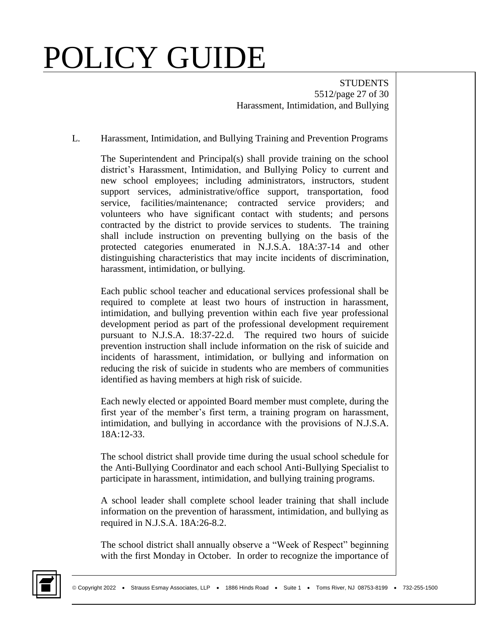**STUDENTS** 5512/page 27 of 30 Harassment, Intimidation, and Bullying

#### L. Harassment, Intimidation, and Bullying Training and Prevention Programs

The Superintendent and Principal(s) shall provide training on the school district's Harassment, Intimidation, and Bullying Policy to current and new school employees; including administrators, instructors, student support services, administrative/office support, transportation, food service, facilities/maintenance; contracted service providers; and volunteers who have significant contact with students; and persons contracted by the district to provide services to students. The training shall include instruction on preventing bullying on the basis of the protected categories enumerated in N.J.S.A. 18A:37-14 and other distinguishing characteristics that may incite incidents of discrimination, harassment, intimidation, or bullying.

Each public school teacher and educational services professional shall be required to complete at least two hours of instruction in harassment, intimidation, and bullying prevention within each five year professional development period as part of the professional development requirement pursuant to N.J.S.A. 18:37-22.d. The required two hours of suicide prevention instruction shall include information on the risk of suicide and incidents of harassment, intimidation, or bullying and information on reducing the risk of suicide in students who are members of communities identified as having members at high risk of suicide.

Each newly elected or appointed Board member must complete, during the first year of the member's first term, a training program on harassment, intimidation, and bullying in accordance with the provisions of N.J.S.A. 18A:12-33.

The school district shall provide time during the usual school schedule for the Anti-Bullying Coordinator and each school Anti-Bullying Specialist to participate in harassment, intimidation, and bullying training programs.

A school leader shall complete school leader training that shall include information on the prevention of harassment, intimidation, and bullying as required in N.J.S.A. 18A:26-8.2.

The school district shall annually observe a "Week of Respect" beginning with the first Monday in October. In order to recognize the importance of

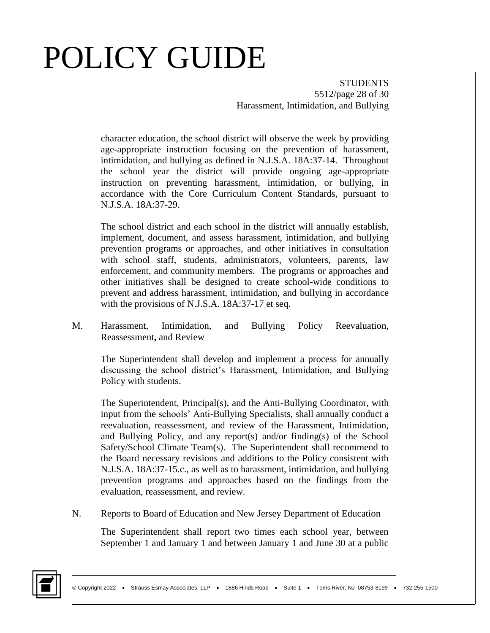**STUDENTS** 5512/page 28 of 30 Harassment, Intimidation, and Bullying

character education, the school district will observe the week by providing age-appropriate instruction focusing on the prevention of harassment, intimidation, and bullying as defined in N.J.S.A. 18A:37-14. Throughout the school year the district will provide ongoing age-appropriate instruction on preventing harassment, intimidation, or bullying, in accordance with the Core Curriculum Content Standards, pursuant to N.J.S.A. 18A:37-29.

The school district and each school in the district will annually establish, implement, document, and assess harassment, intimidation, and bullying prevention programs or approaches, and other initiatives in consultation with school staff, students, administrators, volunteers, parents, law enforcement, and community members. The programs or approaches and other initiatives shall be designed to create school-wide conditions to prevent and address harassment, intimidation, and bullying in accordance with the provisions of N.J.S.A. 18A:37-17 et seq.

M. Harassment, Intimidation, and Bullying Policy Reevaluation, Reassessment**,** and Review

The Superintendent shall develop and implement a process for annually discussing the school district's Harassment, Intimidation, and Bullying Policy with students.

The Superintendent, Principal(s), and the Anti-Bullying Coordinator, with input from the schools' Anti-Bullying Specialists, shall annually conduct a reevaluation, reassessment, and review of the Harassment, Intimidation, and Bullying Policy, and any report(s) and/or finding(s) of the School Safety/School Climate Team(s). The Superintendent shall recommend to the Board necessary revisions and additions to the Policy consistent with N.J.S.A. 18A:37-15.c., as well as to harassment, intimidation, and bullying prevention programs and approaches based on the findings from the evaluation, reassessment, and review.

N. Reports to Board of Education and New Jersey Department of Education

The Superintendent shall report two times each school year, between September 1 and January 1 and between January 1 and June 30 at a public

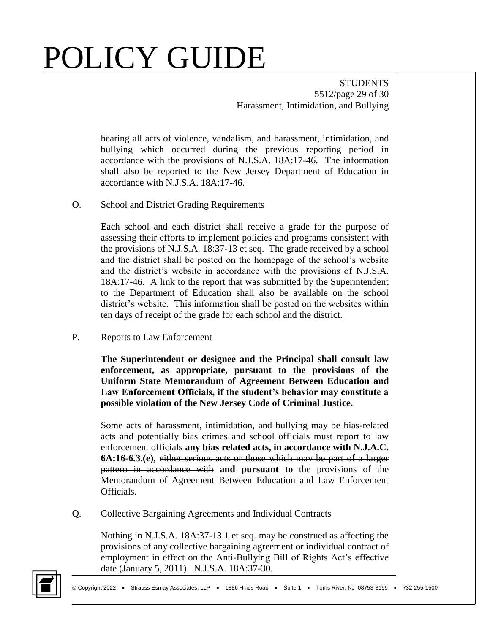**STUDENTS** 5512/page 29 of 30 Harassment, Intimidation, and Bullying

hearing all acts of violence, vandalism, and harassment, intimidation, and bullying which occurred during the previous reporting period in accordance with the provisions of N.J.S.A. 18A:17-46. The information shall also be reported to the New Jersey Department of Education in accordance with N.J.S.A. 18A:17-46.

O. School and District Grading Requirements

Each school and each district shall receive a grade for the purpose of assessing their efforts to implement policies and programs consistent with the provisions of N.J.S.A. 18:37-13 et seq. The grade received by a school and the district shall be posted on the homepage of the school's website and the district's website in accordance with the provisions of N.J.S.A. 18A:17-46. A link to the report that was submitted by the Superintendent to the Department of Education shall also be available on the school district's website. This information shall be posted on the websites within ten days of receipt of the grade for each school and the district.

P. Reports to Law Enforcement

**The Superintendent or designee and the Principal shall consult law enforcement, as appropriate, pursuant to the provisions of the Uniform State Memorandum of Agreement Between Education and Law Enforcement Officials, if the student's behavior may constitute a possible violation of the New Jersey Code of Criminal Justice.** 

Some acts of harassment, intimidation, and bullying may be bias-related acts and potentially bias crimes and school officials must report to law enforcement officials **any bias related acts, in accordance with N.J.A.C. 6A:16-6.3.(e),** either serious acts or those which may be part of a larger pattern in accordance with **and pursuant to** the provisions of the Memorandum of Agreement Between Education and Law Enforcement Officials.

Q. Collective Bargaining Agreements and Individual Contracts

Nothing in N.J.S.A. 18A:37-13.1 et seq. may be construed as affecting the provisions of any collective bargaining agreement or individual contract of employment in effect on the Anti-Bullying Bill of Rights Act's effective date (January 5, 2011). N.J.S.A. 18A:37-30.

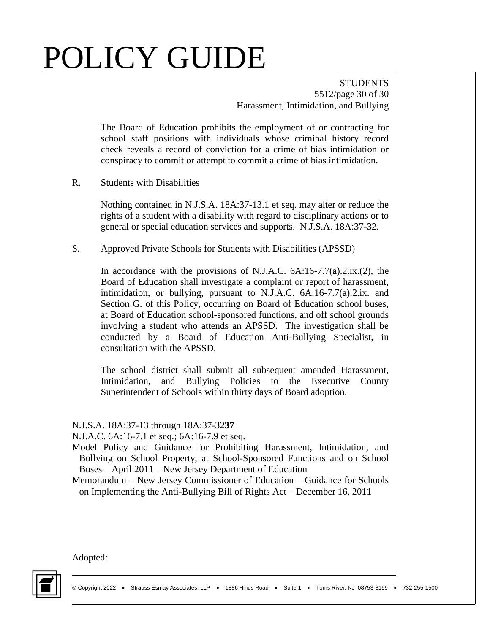**STUDENTS** 5512/page 30 of 30 Harassment, Intimidation, and Bullying

The Board of Education prohibits the employment of or contracting for school staff positions with individuals whose criminal history record check reveals a record of conviction for a crime of bias intimidation or conspiracy to commit or attempt to commit a crime of bias intimidation.

R. Students with Disabilities

Nothing contained in N.J.S.A. 18A:37-13.1 et seq. may alter or reduce the rights of a student with a disability with regard to disciplinary actions or to general or special education services and supports. N.J.S.A. 18A:37-32.

S. Approved Private Schools for Students with Disabilities (APSSD)

In accordance with the provisions of N.J.A.C. 6A:16-7.7(a).2.ix.(2), the Board of Education shall investigate a complaint or report of harassment, intimidation, or bullying, pursuant to N.J.A.C. 6A:16-7.7(a).2.ix. and Section G. of this Policy, occurring on Board of Education school buses, at Board of Education school-sponsored functions, and off school grounds involving a student who attends an APSSD. The investigation shall be conducted by a Board of Education Anti-Bullying Specialist, in consultation with the APSSD.

The school district shall submit all subsequent amended Harassment, Intimidation, and Bullying Policies to the Executive County Superintendent of Schools within thirty days of Board adoption.

#### N.J.S.A. 18A:37-13 through 18A:37-32**37**

N.J.A.C. 6A:16-7.1 et seq.<del>; 6A:16-7.9 et seq.</del>

- Model Policy and Guidance for Prohibiting Harassment, Intimidation, and Bullying on School Property, at School-Sponsored Functions and on School Buses – April 2011 – New Jersey Department of Education
- Memorandum New Jersey Commissioner of Education Guidance for Schools on Implementing the Anti-Bullying Bill of Rights Act – December 16, 2011

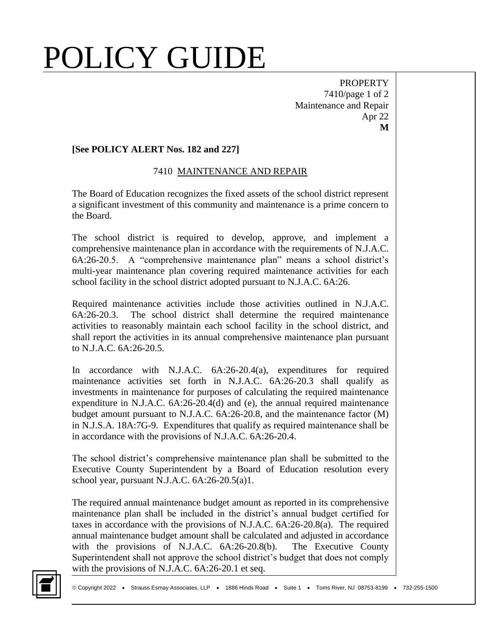PROPERTY 7410/page 1 of 2 Maintenance and Repair Apr 22 **M**

#### **[See POLICY ALERT Nos. 182 and 227]**

#### 7410 MAINTENANCE AND REPAIR

The Board of Education recognizes the fixed assets of the school district represent a significant investment of this community and maintenance is a prime concern to the Board.

The school district is required to develop, approve, and implement a comprehensive maintenance plan in accordance with the requirements of N.J.A.C. 6A:26-20.5. A "comprehensive maintenance plan" means a school district's multi-year maintenance plan covering required maintenance activities for each school facility in the school district adopted pursuant to N.J.A.C. 6A:26.

Required maintenance activities include those activities outlined in N.J.A.C. 6A:26-20.3. The school district shall determine the required maintenance activities to reasonably maintain each school facility in the school district, and shall report the activities in its annual comprehensive maintenance plan pursuant to N.J.A.C. 6A:26-20.5.

In accordance with N.J.A.C. 6A:26-20.4(a), expenditures for required maintenance activities set forth in N.J.A.C. 6A:26-20.3 shall qualify as investments in maintenance for purposes of calculating the required maintenance expenditure in N.J.A.C. 6A:26-20.4(d) and (e), the annual required maintenance budget amount pursuant to N.J.A.C. 6A:26-20.8, and the maintenance factor (M) in N.J.S.A. 18A:7G-9. Expenditures that qualify as required maintenance shall be in accordance with the provisions of N.J.A.C. 6A:26-20.4.

The school district's comprehensive maintenance plan shall be submitted to the Executive County Superintendent by a Board of Education resolution every school year, pursuant N.J.A.C. 6A:26-20.5(a)1.

The required annual maintenance budget amount as reported in its comprehensive maintenance plan shall be included in the district's annual budget certified for taxes in accordance with the provisions of N.J.A.C. 6A:26-20.8(a). The required annual maintenance budget amount shall be calculated and adjusted in accordance with the provisions of N.J.A.C. 6A:26-20.8(b). The Executive County Superintendent shall not approve the school district's budget that does not comply with the provisions of N.J.A.C. 6A:26-20.1 et seq.

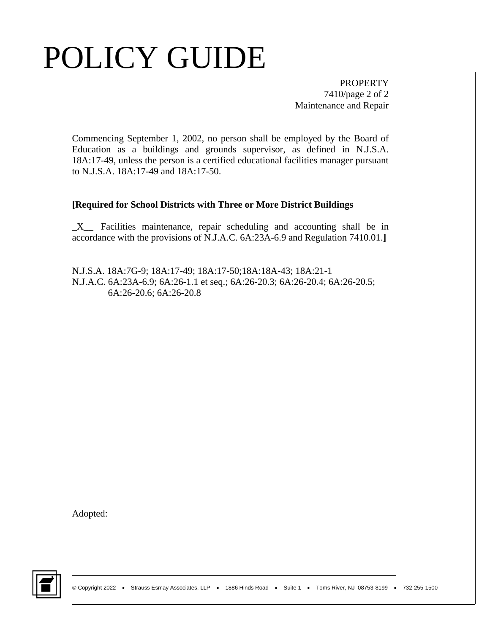PROPERTY 7410/page 2 of 2 Maintenance and Repair

Commencing September 1, 2002, no person shall be employed by the Board of Education as a buildings and grounds supervisor, as defined in N.J.S.A. 18A:17-49, unless the person is a certified educational facilities manager pursuant to N.J.S.A. 18A:17-49 and 18A:17-50.

#### **[Required for School Districts with Three or More District Buildings**

 $X$  Facilities maintenance, repair scheduling and accounting shall be in accordance with the provisions of N.J.A.C. 6A:23A-6.9 and Regulation 7410.01.**]**

N.J.S.A. 18A:7G-9; 18A:17-49; 18A:17-50;18A:18A-43; 18A:21-1 N.J.A.C. 6A:23A-6.9; 6A:26-1.1 et seq.; 6A:26-20.3; 6A:26-20.4; 6A:26-20.5; 6A:26-20.6; 6A:26-20.8

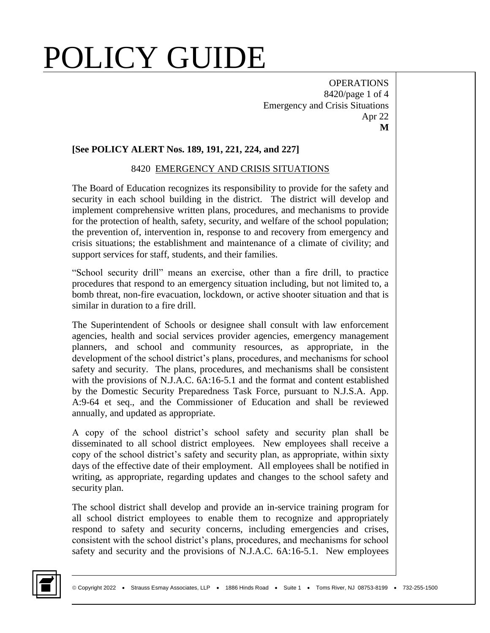**OPERATIONS** 8420/page 1 of 4 Emergency and Crisis Situations Apr 22 **M**

#### **[See POLICY ALERT Nos. 189, 191, 221, 224, and 227]**

#### 8420 EMERGENCY AND CRISIS SITUATIONS

The Board of Education recognizes its responsibility to provide for the safety and security in each school building in the district. The district will develop and implement comprehensive written plans, procedures, and mechanisms to provide for the protection of health, safety, security, and welfare of the school population; the prevention of, intervention in, response to and recovery from emergency and crisis situations; the establishment and maintenance of a climate of civility; and support services for staff, students, and their families.

"School security drill" means an exercise, other than a fire drill, to practice procedures that respond to an emergency situation including, but not limited to, a bomb threat, non-fire evacuation, lockdown, or active shooter situation and that is similar in duration to a fire drill.

The Superintendent of Schools or designee shall consult with law enforcement agencies, health and social services provider agencies, emergency management planners, and school and community resources, as appropriate, in the development of the school district's plans, procedures, and mechanisms for school safety and security. The plans, procedures, and mechanisms shall be consistent with the provisions of N.J.A.C. 6A:16-5.1 and the format and content established by the Domestic Security Preparedness Task Force, pursuant to N.J.S.A. App. A:9-64 et seq., and the Commissioner of Education and shall be reviewed annually, and updated as appropriate.

A copy of the school district's school safety and security plan shall be disseminated to all school district employees. New employees shall receive a copy of the school district's safety and security plan, as appropriate, within sixty days of the effective date of their employment. All employees shall be notified in writing, as appropriate, regarding updates and changes to the school safety and security plan.

The school district shall develop and provide an in-service training program for all school district employees to enable them to recognize and appropriately respond to safety and security concerns, including emergencies and crises, consistent with the school district's plans, procedures, and mechanisms for school safety and security and the provisions of N.J.A.C. 6A:16-5.1. New employees

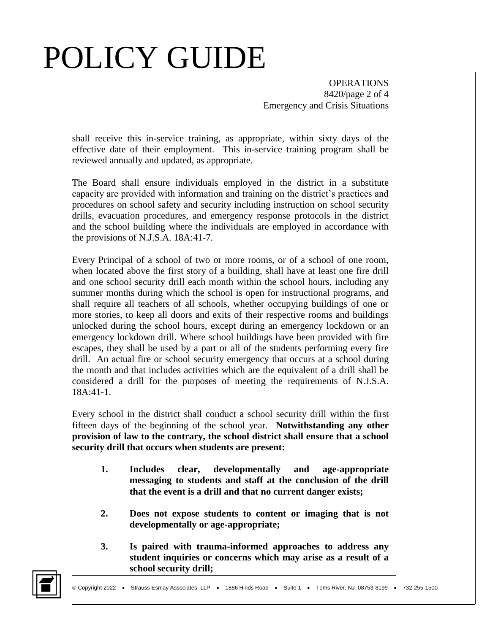**OPERATIONS** 8420/page 2 of 4 Emergency and Crisis Situations

shall receive this in-service training, as appropriate, within sixty days of the effective date of their employment. This in-service training program shall be reviewed annually and updated, as appropriate.

The Board shall ensure individuals employed in the district in a substitute capacity are provided with information and training on the district's practices and procedures on school safety and security including instruction on school security drills, evacuation procedures, and emergency response protocols in the district and the school building where the individuals are employed in accordance with the provisions of N.J.S.A. 18A:41-7.

Every Principal of a school of two or more rooms, or of a school of one room, when located above the first story of a building, shall have at least one fire drill and one school security drill each month within the school hours, including any summer months during which the school is open for instructional programs, and shall require all teachers of all schools, whether occupying buildings of one or more stories, to keep all doors and exits of their respective rooms and buildings unlocked during the school hours, except during an emergency lockdown or an emergency lockdown drill. Where school buildings have been provided with fire escapes, they shall be used by a part or all of the students performing every fire drill. An actual fire or school security emergency that occurs at a school during the month and that includes activities which are the equivalent of a drill shall be considered a drill for the purposes of meeting the requirements of N.J.S.A. 18A:41-1.

Every school in the district shall conduct a school security drill within the first fifteen days of the beginning of the school year. **Notwithstanding any other provision of law to the contrary, the school district shall ensure that a school security drill that occurs when students are present:**

- **1. Includes clear, developmentally and age-appropriate messaging to students and staff at the conclusion of the drill that the event is a drill and that no current danger exists;**
- **2. Does not expose students to content or imaging that is not developmentally or age-appropriate;**
- **3. Is paired with trauma-informed approaches to address any student inquiries or concerns which may arise as a result of a school security drill;**

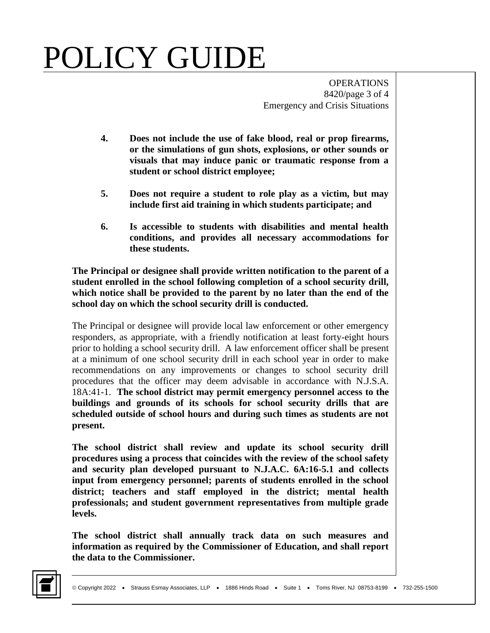**OPERATIONS** 8420/page 3 of 4 Emergency and Crisis Situations

- **4. Does not include the use of fake blood, real or prop firearms, or the simulations of gun shots, explosions, or other sounds or visuals that may induce panic or traumatic response from a student or school district employee;**
- **5. Does not require a student to role play as a victim, but may include first aid training in which students participate; and**
- **6. Is accessible to students with disabilities and mental health conditions, and provides all necessary accommodations for these students.**

**The Principal or designee shall provide written notification to the parent of a student enrolled in the school following completion of a school security drill, which notice shall be provided to the parent by no later than the end of the school day on which the school security drill is conducted.**

The Principal or designee will provide local law enforcement or other emergency responders, as appropriate, with a friendly notification at least forty-eight hours prior to holding a school security drill. A law enforcement officer shall be present at a minimum of one school security drill in each school year in order to make recommendations on any improvements or changes to school security drill procedures that the officer may deem advisable in accordance with N.J.S.A. 18A:41-1. **The school district may permit emergency personnel access to the buildings and grounds of its schools for school security drills that are scheduled outside of school hours and during such times as students are not present.**

**The school district shall review and update its school security drill procedures using a process that coincides with the review of the school safety and security plan developed pursuant to N.J.A.C. 6A:16-5.1 and collects input from emergency personnel; parents of students enrolled in the school district; teachers and staff employed in the district; mental health professionals; and student government representatives from multiple grade levels.**

**The school district shall annually track data on such measures and information as required by the Commissioner of Education, and shall report the data to the Commissioner.**

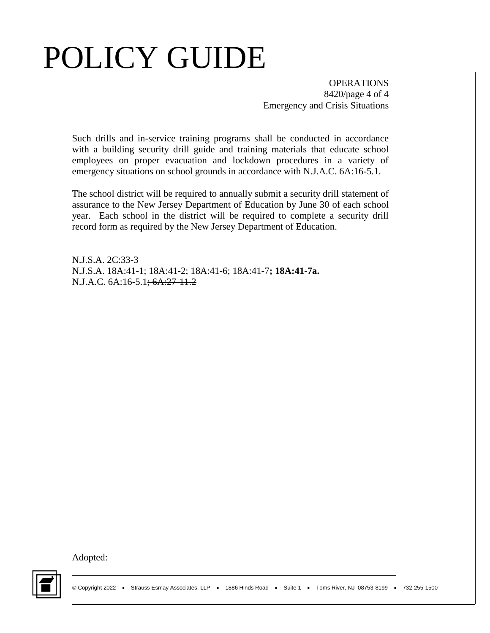**OPERATIONS** 8420/page 4 of 4 Emergency and Crisis Situations

Such drills and in-service training programs shall be conducted in accordance with a building security drill guide and training materials that educate school employees on proper evacuation and lockdown procedures in a variety of emergency situations on school grounds in accordance with N.J.A.C. 6A:16-5.1.

The school district will be required to annually submit a security drill statement of assurance to the New Jersey Department of Education by June 30 of each school year. Each school in the district will be required to complete a security drill record form as required by the New Jersey Department of Education.

N.J.S.A. 2C:33-3 N.J.S.A. 18A:41-1; 18A:41-2; 18A:41-6; 18A:41-7**; 18A:41-7a.** N.J.A.C. 6A:16-5.1<del>; 6A:27-11.2</del>

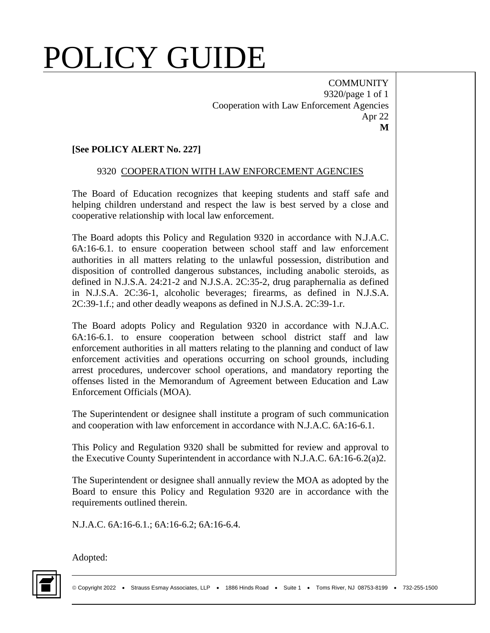**COMMUNITY** 9320/page 1 of 1 Cooperation with Law Enforcement Agencies Apr 22 **M**

#### **[See POLICY ALERT No. 227]**

#### 9320 COOPERATION WITH LAW ENFORCEMENT AGENCIES

The Board of Education recognizes that keeping students and staff safe and helping children understand and respect the law is best served by a close and cooperative relationship with local law enforcement.

The Board adopts this Policy and Regulation 9320 in accordance with N.J.A.C. 6A:16-6.1. to ensure cooperation between school staff and law enforcement authorities in all matters relating to the unlawful possession, distribution and disposition of controlled dangerous substances, including anabolic steroids, as defined in N.J.S.A. 24:21-2 and N.J.S.A. 2C:35-2, drug paraphernalia as defined in N.J.S.A. 2C:36-1, alcoholic beverages; firearms, as defined in N.J.S.A. 2C:39-1.f.; and other deadly weapons as defined in N.J.S.A. 2C:39-1.r.

The Board adopts Policy and Regulation 9320 in accordance with N.J.A.C. 6A:16-6.1. to ensure cooperation between school district staff and law enforcement authorities in all matters relating to the planning and conduct of law enforcement activities and operations occurring on school grounds, including arrest procedures, undercover school operations, and mandatory reporting the offenses listed in the Memorandum of Agreement between Education and Law Enforcement Officials (MOA).

The Superintendent or designee shall institute a program of such communication and cooperation with law enforcement in accordance with N.J.A.C. 6A:16-6.1.

This Policy and Regulation 9320 shall be submitted for review and approval to the Executive County Superintendent in accordance with N.J.A.C. 6A:16-6.2(a)2.

The Superintendent or designee shall annually review the MOA as adopted by the Board to ensure this Policy and Regulation 9320 are in accordance with the requirements outlined therein.

N.J.A.C. 6A:16-6.1.; 6A:16-6.2; 6A:16-6.4.

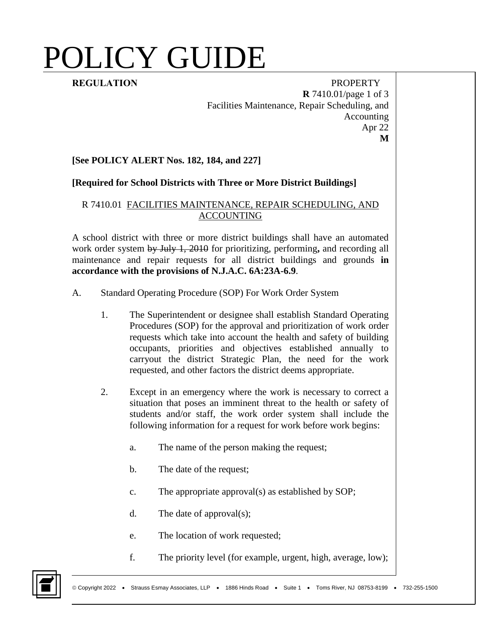**REGULATION** PROPERTY **R** 7410.01/page 1 of 3 Facilities Maintenance, Repair Scheduling, and Accounting Apr 22 **M**

#### **[See POLICY ALERT Nos. 182, 184, and 227]**

#### **[Required for School Districts with Three or More District Buildings]**

#### R 7410.01 FACILITIES MAINTENANCE, REPAIR SCHEDULING, AND ACCOUNTING

A school district with three or more district buildings shall have an automated work order system by July 1, 2010 for prioritizing, performing**,** and recording all maintenance and repair requests for all district buildings and grounds **in accordance with the provisions of N.J.A.C. 6A:23A-6.9**.

- A. Standard Operating Procedure (SOP) For Work Order System
	- 1. The Superintendent or designee shall establish Standard Operating Procedures (SOP) for the approval and prioritization of work order requests which take into account the health and safety of building occupants, priorities and objectives established annually to carryout the district Strategic Plan, the need for the work requested, and other factors the district deems appropriate.
	- 2. Except in an emergency where the work is necessary to correct a situation that poses an imminent threat to the health or safety of students and/or staff, the work order system shall include the following information for a request for work before work begins:
		- a. The name of the person making the request;
		- b. The date of the request;
		- c. The appropriate approval(s) as established by SOP;
		- d. The date of approval(s);
		- e. The location of work requested;
		- f. The priority level (for example, urgent, high, average, low);

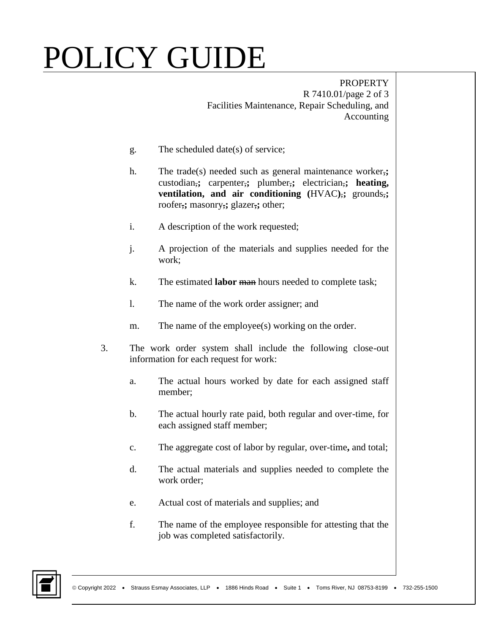PROPERTY R 7410.01/page 2 of 3 Facilities Maintenance, Repair Scheduling, and Accounting

- g. The scheduled date(s) of service;
- h. The trade(s) needed such as general maintenance worker,**;** custodian,**;** carpenter,**;** plumber,**;** electrician,**; heating, ventilation, and air conditioning (HVAC)**, grounds, roofer,**;** masonry,**;** glazer,**;** other;
- i. A description of the work requested;
- j. A projection of the materials and supplies needed for the work;
- k. The estimated **labor** man hours needed to complete task;
- l. The name of the work order assigner; and
- m. The name of the employee(s) working on the order.
- 3. The work order system shall include the following close-out information for each request for work:
	- a. The actual hours worked by date for each assigned staff member;
	- b. The actual hourly rate paid, both regular and over-time, for each assigned staff member;
	- c. The aggregate cost of labor by regular, over-time**,** and total;
	- d. The actual materials and supplies needed to complete the work order;
	- e. Actual cost of materials and supplies; and
	- f. The name of the employee responsible for attesting that the job was completed satisfactorily.